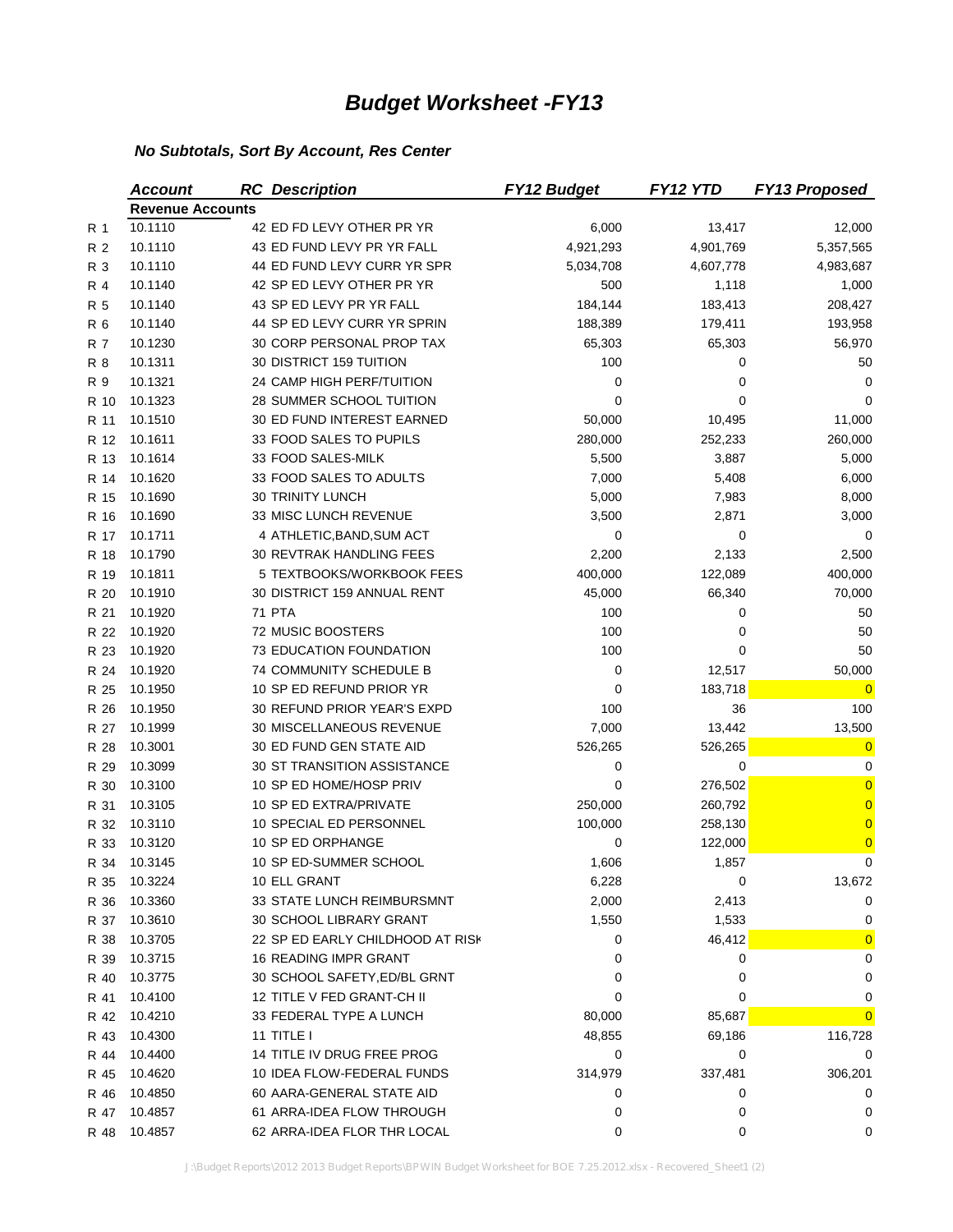|      | <b>Account</b>          | <b>RC</b> Description            | <b>FY12 Budget</b> | FY12 YTD  | <b>FY13 Proposed</b> |
|------|-------------------------|----------------------------------|--------------------|-----------|----------------------|
|      | <b>Revenue Accounts</b> |                                  |                    |           |                      |
| R 1  | 10.1110                 | 42 ED FD LEVY OTHER PR YR        | 6,000              | 13,417    | 12,000               |
| R 2  | 10.1110                 | 43 ED FUND LEVY PR YR FALL       | 4,921,293          | 4,901,769 | 5,357,565            |
| R 3  | 10.1110                 | 44 ED FUND LEVY CURR YR SPR      | 5,034,708          | 4,607,778 | 4,983,687            |
| R 4  | 10.1140                 | 42 SP ED LEVY OTHER PR YR        | 500                | 1,118     | 1,000                |
| R 5  | 10.1140                 | 43 SP ED LEVY PR YR FALL         | 184,144            | 183,413   | 208,427              |
| R 6  | 10.1140                 | 44 SP ED LEVY CURR YR SPRIN      | 188,389            | 179,411   | 193,958              |
| R 7  | 10.1230                 | 30 CORP PERSONAL PROP TAX        | 65,303             | 65,303    | 56,970               |
| R 8  | 10.1311                 | 30 DISTRICT 159 TUITION          | 100                | 0         | 50                   |
| R 9  | 10.1321                 | 24 CAMP HIGH PERF/TUITION        | 0                  | 0         | 0                    |
| R 10 | 10.1323                 | 28 SUMMER SCHOOL TUITION         | 0                  | 0         | 0                    |
| R 11 | 10.1510                 | 30 ED FUND INTEREST EARNED       | 50,000             | 10,495    | 11,000               |
| R 12 | 10.1611                 | 33 FOOD SALES TO PUPILS          | 280,000            | 252,233   | 260,000              |
| R 13 | 10.1614                 | 33 FOOD SALES-MILK               | 5,500              | 3,887     | 5,000                |
| R 14 | 10.1620                 | 33 FOOD SALES TO ADULTS          | 7,000              | 5,408     | 6,000                |
| R 15 | 10.1690                 | 30 TRINITY LUNCH                 | 5,000              | 7,983     | 8,000                |
| R 16 | 10.1690                 | 33 MISC LUNCH REVENUE            | 3,500              | 2,871     | 3,000                |
| R 17 | 10.1711                 | 4 ATHLETIC, BAND, SUM ACT        | 0                  | 0         | 0                    |
| R 18 | 10.1790                 | <b>30 REVTRAK HANDLING FEES</b>  | 2,200              | 2,133     | 2,500                |
| R 19 | 10.1811                 | 5 TEXTBOOKS/WORKBOOK FEES        | 400,000            | 122,089   | 400,000              |
| R 20 | 10.1910                 | 30 DISTRICT 159 ANNUAL RENT      | 45,000             | 66,340    | 70,000               |
| R 21 | 10.1920                 | 71 PTA                           | 100                | 0         | 50                   |
| R 22 | 10.1920                 | 72 MUSIC BOOSTERS                | 100                | 0         | 50                   |
| R 23 | 10.1920                 | 73 EDUCATION FOUNDATION          | 100                | 0         | 50                   |
| R 24 | 10.1920                 | 74 COMMUNITY SCHEDULE B          | 0                  | 12,517    | 50,000               |
| R 25 | 10.1950                 | 10 SP ED REFUND PRIOR YR         | 0                  | 183,718   | $\overline{0}$       |
| R 26 | 10.1950                 | 30 REFUND PRIOR YEAR'S EXPD      | 100                | 36        | 100                  |
| R 27 | 10.1999                 | 30 MISCELLANEOUS REVENUE         | 7,000              | 13,442    | 13,500               |
| R 28 | 10.3001                 | 30 ED FUND GEN STATE AID         | 526,265            | 526,265   | $\overline{0}$       |
| R 29 | 10.3099                 | 30 ST TRANSITION ASSISTANCE      | 0                  | 0         | 0                    |
| R 30 | 10.3100                 | 10 SP ED HOME/HOSP PRIV          | 0                  | 276,502   | $\overline{0}$       |
| R 31 | 10.3105                 | 10 SP ED EXTRA/PRIVATE           | 250,000            | 260,792   | $\overline{0}$       |
| R 32 | 10.3110                 | 10 SPECIAL ED PERSONNEL          | 100,000            | 258,130   | $\overline{0}$       |
| R 33 | 10.3120                 | 10 SP ED ORPHANGE                | 0                  | 122,000   | $\overline{0}$       |
| R 34 | 10.3145                 | 10 SP ED-SUMMER SCHOOL           | 1,606              | 1,857     | 0                    |
| R 35 | 10.3224                 | 10 ELL GRANT                     | 6,228              | 0         | 13,672               |
| R 36 | 10.3360                 | 33 STATE LUNCH REIMBURSMNT       | 2,000              | 2,413     | 0                    |
| R 37 | 10.3610                 | 30 SCHOOL LIBRARY GRANT          | 1,550              | 1,533     | 0                    |
| R 38 | 10.3705                 | 22 SP ED EARLY CHILDHOOD AT RISH | 0                  | 46,412    | $\overline{0}$       |
| R 39 | 10.3715                 | <b>16 READING IMPR GRANT</b>     | 0                  | 0         | 0                    |
| R 40 | 10.3775                 | 30 SCHOOL SAFETY, ED/BL GRNT     | 0                  | 0         | 0                    |
| R 41 | 10.4100                 | 12 TITLE V FED GRANT-CH II       | 0                  | 0         | 0                    |
| R 42 | 10.4210                 | 33 FEDERAL TYPE A LUNCH          | 80,000             | 85,687    | $\overline{0}$       |
| R 43 | 10.4300                 | 11 TITLE I                       | 48,855             | 69,186    | 116,728              |
| R 44 | 10.4400                 | 14 TITLE IV DRUG FREE PROG       | 0                  | 0         | 0                    |
| R 45 | 10.4620                 | 10 IDEA FLOW-FEDERAL FUNDS       | 314,979            | 337,481   | 306,201              |
| R 46 | 10.4850                 | 60 AARA-GENERAL STATE AID        | 0                  | 0         | 0                    |
| R 47 | 10.4857                 | 61 ARRA-IDEA FLOW THROUGH        | 0                  | 0         | 0                    |
| R 48 | 10.4857                 | 62 ARRA-IDEA FLOR THR LOCAL      | 0                  | 0         | 0                    |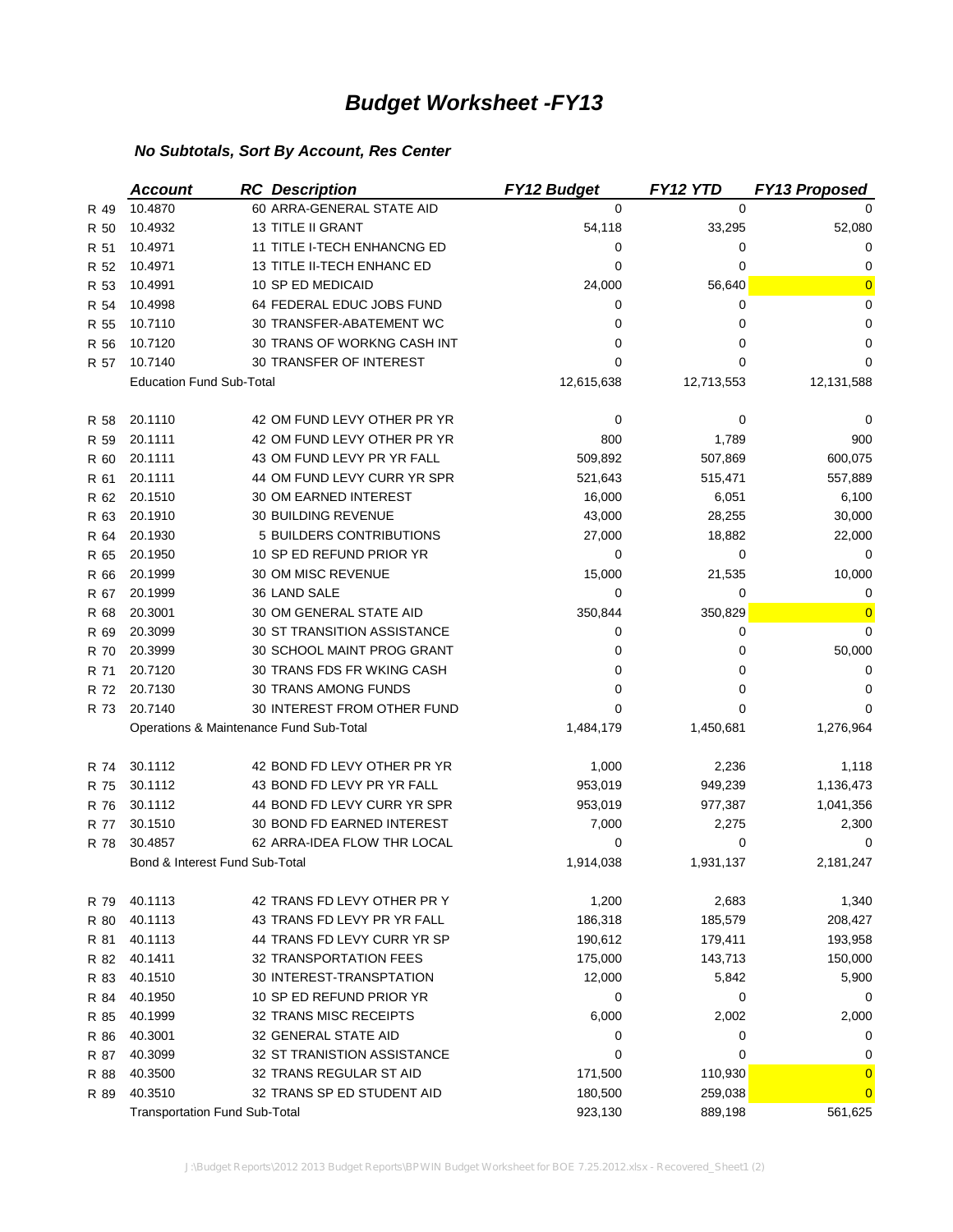|      | <b>Account</b>                       | <b>RC</b> Description                   | <b>FY12 Budget</b> | FY12 YTD   | <b>FY13 Proposed</b> |
|------|--------------------------------------|-----------------------------------------|--------------------|------------|----------------------|
| R 49 | 10.4870                              | 60 ARRA-GENERAL STATE AID               | $\Omega$           | $\Omega$   | $\Omega$             |
| R 50 | 10.4932                              | <b>13 TITLE II GRANT</b>                | 54,118             | 33,295     | 52,080               |
| R 51 | 10.4971                              | 11 TITLE I-TECH ENHANCNG ED             | 0                  | 0          | 0                    |
| R 52 | 10.4971                              | 13 TITLE II-TECH ENHANC ED              | 0                  | 0          | 0                    |
| R 53 | 10.4991                              | 10 SP ED MEDICAID                       | 24,000             | 56,640     | $\overline{0}$       |
| R 54 | 10.4998                              | 64 FEDERAL EDUC JOBS FUND               | 0                  | 0          | 0                    |
| R 55 | 10.7110                              | 30 TRANSFER-ABATEMENT WC                | 0                  | 0          | 0                    |
| R 56 | 10.7120                              | 30 TRANS OF WORKNG CASH INT             | 0                  | 0          | 0                    |
| R 57 | 10.7140                              | 30 TRANSFER OF INTEREST                 | $\mathbf 0$        | 0          | $\Omega$             |
|      | <b>Education Fund Sub-Total</b>      |                                         | 12,615,638         | 12,713,553 | 12,131,588           |
|      |                                      |                                         |                    |            |                      |
| R 58 | 20.1110                              | 42 OM FUND LEVY OTHER PR YR             | 0                  | 0          | 0                    |
| R 59 | 20.1111                              | 42 OM FUND LEVY OTHER PR YR             | 800                | 1,789      | 900                  |
| R 60 | 20.1111                              | 43 OM FUND LEVY PR YR FALL              | 509,892            | 507,869    | 600,075              |
| R 61 | 20.1111                              | 44 OM FUND LEVY CURR YR SPR             | 521,643            | 515,471    | 557,889              |
| R 62 | 20.1510                              | 30 OM EARNED INTEREST                   | 16,000             | 6,051      | 6,100                |
| R 63 | 20.1910                              | 30 BUILDING REVENUE                     | 43,000             | 28,255     | 30,000               |
| R 64 | 20.1930                              | 5 BUILDERS CONTRIBUTIONS                | 27,000             | 18,882     | 22,000               |
| R 65 | 20.1950                              | 10 SP ED REFUND PRIOR YR                | 0                  | 0          | 0                    |
| R 66 | 20.1999                              | 30 OM MISC REVENUE                      | 15,000             | 21,535     | 10,000               |
| R 67 | 20.1999                              | 36 LAND SALE                            | 0                  | 0          | 0                    |
| R 68 | 20.3001                              | 30 OM GENERAL STATE AID                 | 350,844            | 350,829    | $\overline{0}$       |
| R 69 | 20.3099                              | 30 ST TRANSITION ASSISTANCE             | 0                  | 0          | $\Omega$             |
| R 70 | 20.3999                              | 30 SCHOOL MAINT PROG GRANT              | 0                  | 0          | 50,000               |
| R 71 | 20.7120                              | 30 TRANS FDS FR WKING CASH              | 0                  | 0          | 0                    |
| R 72 | 20.7130                              | 30 TRANS AMONG FUNDS                    | 0                  | 0          | 0                    |
| R 73 | 20.7140                              | 30 INTEREST FROM OTHER FUND             | $\mathbf 0$        | 0          | 0                    |
|      |                                      | Operations & Maintenance Fund Sub-Total | 1,484,179          | 1,450,681  | 1,276,964            |
| R 74 | 30.1112                              | 42 BOND FD LEVY OTHER PR YR             | 1,000              | 2,236      | 1,118                |
| R 75 | 30.1112                              | 43 BOND FD LEVY PR YR FALL              | 953,019            | 949,239    | 1,136,473            |
| R 76 | 30.1112                              | 44 BOND FD LEVY CURR YR SPR             | 953,019            | 977,387    | 1,041,356            |
| R 77 | 30.1510                              | <b>30 BOND FD EARNED INTEREST</b>       | 7,000              | 2,275      | 2,300                |
| R 78 | 30.4857                              | 62 ARRA-IDEA FLOW THR LOCAL             | 0                  | 0          | 0                    |
|      | Bond & Interest Fund Sub-Total       |                                         | 1,914,038          | 1,931,137  | 2,181,247            |
| R 79 | 40.1113                              | 42 TRANS FD LEVY OTHER PR Y             | 1,200              | 2,683      | 1,340                |
| R 80 | 40.1113                              | 43 TRANS FD LEVY PR YR FALL             | 186,318            | 185,579    | 208,427              |
| R 81 | 40.1113                              | 44 TRANS FD LEVY CURR YR SP             | 190,612            | 179,411    | 193,958              |
| R 82 | 40.1411                              | 32 TRANSPORTATION FEES                  | 175,000            | 143,713    | 150,000              |
| R 83 | 40.1510                              | 30 INTEREST-TRANSPTATION                | 12,000             | 5,842      | 5,900                |
| R 84 | 40.1950                              | 10 SP ED REFUND PRIOR YR                | 0                  | 0          | 0                    |
| R 85 | 40.1999                              | 32 TRANS MISC RECEIPTS                  | 6,000              | 2,002      | 2,000                |
| R 86 | 40.3001                              | 32 GENERAL STATE AID                    | 0                  | 0          | 0                    |
| R 87 | 40.3099                              | 32 ST TRANISTION ASSISTANCE             | 0                  | 0          | 0                    |
| R 88 | 40.3500                              | 32 TRANS REGULAR ST AID                 | 171,500            | 110,930    | $\overline{0}$       |
| R 89 | 40.3510                              | 32 TRANS SP ED STUDENT AID              | 180,500            | 259,038    | $\overline{0}$       |
|      | <b>Transportation Fund Sub-Total</b> |                                         | 923,130            | 889,198    | 561,625              |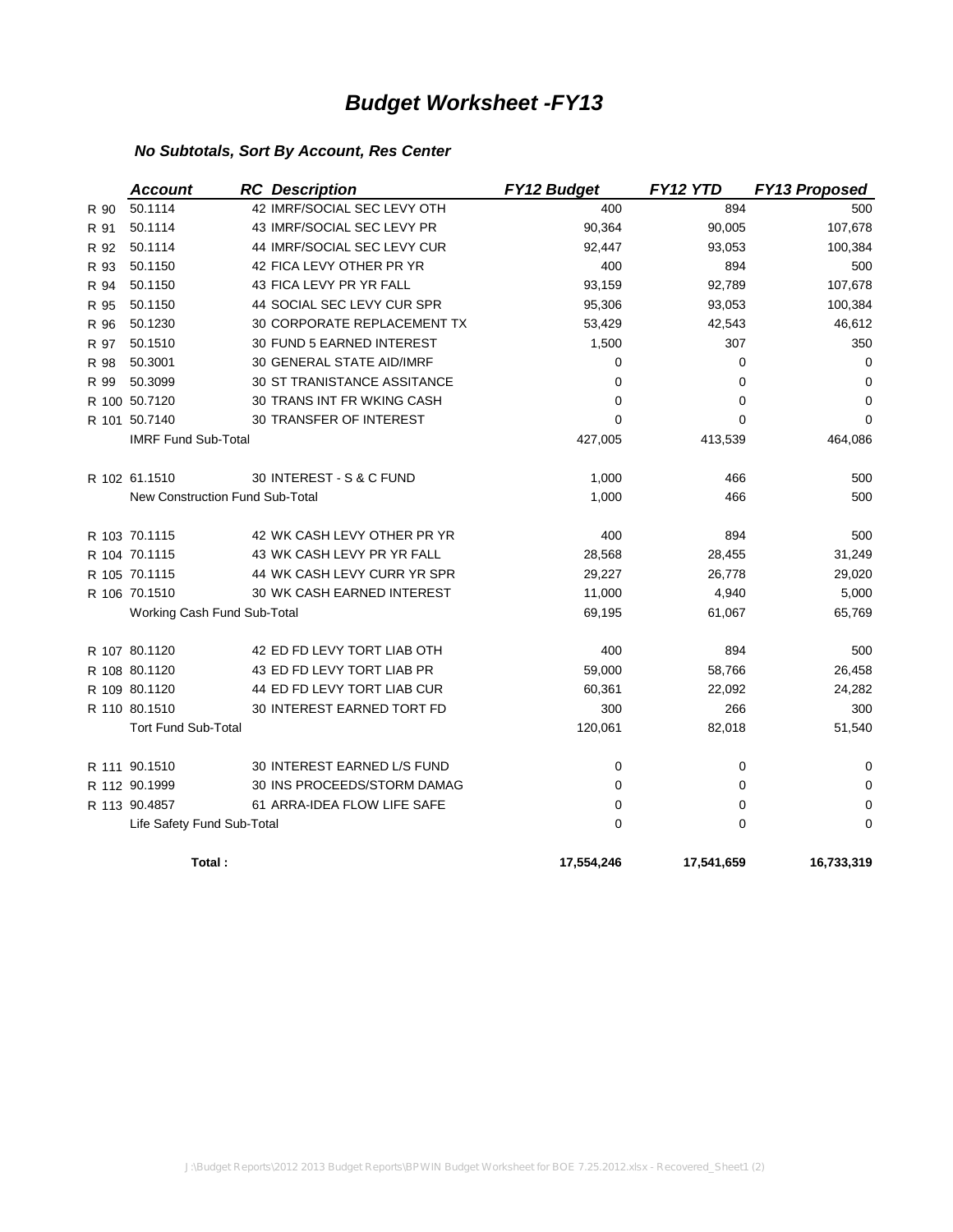|      | <b>Account</b>                  | <b>RC</b> Description              | <b>FY12 Budget</b> | FY12 YTD   | <b>FY13 Proposed</b> |
|------|---------------------------------|------------------------------------|--------------------|------------|----------------------|
| R 90 | 50.1114                         | 42 IMRF/SOCIAL SEC LEVY OTH        | 400                | 894        | 500                  |
| R 91 | 50.1114                         | 43 IMRF/SOCIAL SEC LEVY PR         | 90,364             | 90,005     | 107,678              |
| R 92 | 50.1114                         | 44 IMRF/SOCIAL SEC LEVY CUR        | 92,447             | 93,053     | 100,384              |
| R 93 | 50.1150                         | 42 FICA LEVY OTHER PR YR           | 400                | 894        | 500                  |
| R 94 | 50.1150                         | 43 FICA LEVY PR YR FALL            | 93,159             | 92,789     | 107,678              |
| R 95 | 50.1150                         | 44 SOCIAL SEC LEVY CUR SPR         | 95,306             | 93,053     | 100,384              |
| R 96 | 50.1230                         | 30 CORPORATE REPLACEMENT TX        | 53,429             | 42,543     | 46,612               |
| R 97 | 50.1510                         | 30 FUND 5 EARNED INTEREST          | 1,500              | 307        | 350                  |
| R 98 | 50.3001                         | 30 GENERAL STATE AID/IMRF          | 0                  | 0          | 0                    |
| R 99 | 50.3099                         | <b>30 ST TRANISTANCE ASSITANCE</b> | 0                  | 0          | 0                    |
|      | R 100 50.7120                   | 30 TRANS INT FR WKING CASH         | $\mathbf 0$        | 0          | 0                    |
|      | R 101 50.7140                   | 30 TRANSFER OF INTEREST            | $\Omega$           | 0          | 0                    |
|      | <b>IMRF Fund Sub-Total</b>      |                                    | 427,005            | 413,539    | 464,086              |
|      | R 102 61.1510                   | 30 INTEREST - S & C FUND           | 1,000              | 466        | 500                  |
|      | New Construction Fund Sub-Total |                                    | 1,000              | 466        | 500                  |
|      | R 103 70.1115                   | 42 WK CASH LEVY OTHER PR YR        | 400                | 894        | 500                  |
|      | R 104 70.1115                   | 43 WK CASH LEVY PR YR FALL         | 28,568             | 28,455     | 31,249               |
|      | R 105 70.1115                   | 44 WK CASH LEVY CURR YR SPR        | 29,227             | 26,778     | 29,020               |
|      | R 106 70.1510                   | 30 WK CASH EARNED INTEREST         | 11,000             | 4,940      | 5,000                |
|      | Working Cash Fund Sub-Total     |                                    | 69,195             | 61,067     | 65,769               |
|      | R 107 80.1120                   | 42 ED FD LEVY TORT LIAB OTH        | 400                | 894        | 500                  |
|      | R 108 80.1120                   | 43 ED FD LEVY TORT LIAB PR         | 59,000             | 58,766     | 26,458               |
|      | R 109 80.1120                   | 44 ED FD LEVY TORT LIAB CUR        | 60,361             | 22,092     | 24,282               |
|      | R 110 80.1510                   | 30 INTEREST EARNED TORT FD         | 300                | 266        | 300                  |
|      | <b>Tort Fund Sub-Total</b>      |                                    | 120,061            | 82,018     | 51,540               |
|      | R 111 90.1510                   | 30 INTEREST EARNED L/S FUND        | 0                  | 0          | 0                    |
|      | R 112 90.1999                   | 30 INS PROCEEDS/STORM DAMAG        | 0                  | 0          | 0                    |
|      | R 113 90.4857                   | 61 ARRA-IDEA FLOW LIFE SAFE        | 0                  | 0          | 0                    |
|      | Life Safety Fund Sub-Total      |                                    | 0                  | 0          | 0                    |
|      | Total:                          |                                    | 17,554,246         | 17,541,659 | 16,733,319           |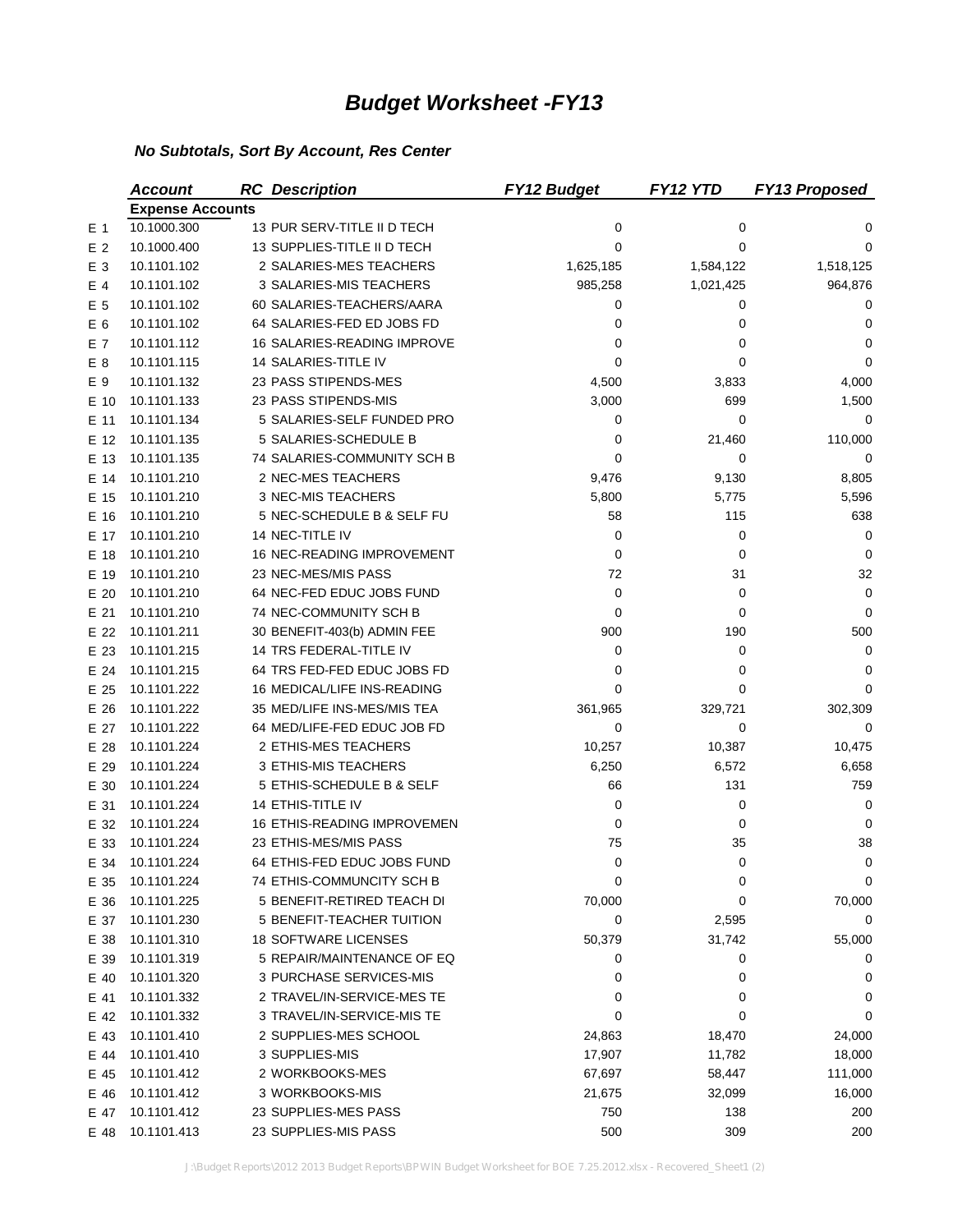|      | <b>Account</b>          | <b>RC</b> Description              | <b>FY12 Budget</b> | FY12 YTD  | <b>FY13 Proposed</b> |
|------|-------------------------|------------------------------------|--------------------|-----------|----------------------|
|      | <b>Expense Accounts</b> |                                    |                    |           |                      |
| E 1  | 10.1000.300             | 13 PUR SERV-TITLE II D TECH        | 0                  | 0         | 0                    |
| E 2  | 10.1000.400             | 13 SUPPLIES-TITLE II D TECH        | 0                  | 0         | 0                    |
| E 3  | 10.1101.102             | 2 SALARIES-MES TEACHERS            | 1,625,185          | 1,584,122 | 1,518,125            |
| E 4  | 10.1101.102             | 3 SALARIES-MIS TEACHERS            | 985,258            | 1,021,425 | 964,876              |
| E 5  | 10.1101.102             | 60 SALARIES-TEACHERS/AARA          | 0                  | 0         | 0                    |
| E 6  | 10.1101.102             | 64 SALARIES-FED ED JOBS FD         | 0                  | 0         | 0                    |
| E 7  | 10.1101.112             | 16 SALARIES-READING IMPROVE        | 0                  | 0         | 0                    |
| E 8  | 10.1101.115             | 14 SALARIES-TITLE IV               | 0                  | 0         | 0                    |
| E 9  | 10.1101.132             | 23 PASS STIPENDS-MES               | 4,500              | 3,833     | 4,000                |
| E 10 | 10.1101.133             | 23 PASS STIPENDS-MIS               | 3,000              | 699       | 1,500                |
| E 11 | 10.1101.134             | 5 SALARIES-SELF FUNDED PRO         | 0                  | 0         | 0                    |
| E 12 | 10.1101.135             | 5 SALARIES-SCHEDULE B              | 0                  | 21,460    | 110,000              |
| E 13 | 10.1101.135             | 74 SALARIES-COMMUNITY SCH B        | 0                  | 0         | 0                    |
| E 14 | 10.1101.210             | 2 NEC-MES TEACHERS                 | 9,476              | 9,130     | 8,805                |
| E 15 | 10.1101.210             | 3 NEC-MIS TEACHERS                 | 5,800              | 5,775     | 5,596                |
| E 16 | 10.1101.210             | 5 NEC-SCHEDULE B & SELF FU         | 58                 | 115       | 638                  |
| E 17 | 10.1101.210             | 14 NEC-TITLE IV                    | 0                  | 0         | 0                    |
| E 18 | 10.1101.210             | <b>16 NEC-READING IMPROVEMENT</b>  | 0                  | 0         | 0                    |
| E 19 | 10.1101.210             | 23 NEC-MES/MIS PASS                | 72                 | 31        | 32                   |
| E 20 | 10.1101.210             | 64 NEC-FED EDUC JOBS FUND          | 0                  | 0         | 0                    |
| E 21 | 10.1101.210             | 74 NEC-COMMUNITY SCH B             | $\mathbf 0$        | 0         | 0                    |
| E 22 | 10.1101.211             | 30 BENEFIT-403(b) ADMIN FEE        | 900                | 190       | 500                  |
| E 23 | 10.1101.215             | 14 TRS FEDERAL-TITLE IV            | 0                  | 0         | 0                    |
| E 24 | 10.1101.215             | 64 TRS FED-FED EDUC JOBS FD        | 0                  | 0         | 0                    |
| E 25 | 10.1101.222             | 16 MEDICAL/LIFE INS-READING        | 0                  | 0         | 0                    |
| E 26 | 10.1101.222             | 35 MED/LIFE INS-MES/MIS TEA        | 361,965            | 329,721   | 302,309              |
| E 27 | 10.1101.222             | 64 MED/LIFE-FED EDUC JOB FD        | 0                  | 0         | 0                    |
| E 28 | 10.1101.224             | 2 ETHIS-MES TEACHERS               | 10,257             | 10,387    | 10,475               |
| E 29 | 10.1101.224             | 3 ETHIS-MIS TEACHERS               | 6,250              | 6,572     | 6,658                |
| E 30 | 10.1101.224             | 5 ETHIS-SCHEDULE B & SELF          | 66                 | 131       | 759                  |
| E 31 | 10.1101.224             | 14 ETHIS-TITLE IV                  | 0                  | 0         | 0                    |
| E 32 | 10.1101.224             | <b>16 ETHIS-READING IMPROVEMEN</b> | 0                  | 0         | 0                    |
| E 33 | 10.1101.224             | 23 ETHIS-MES/MIS PASS              | 75                 | 35        | 38                   |
| E 34 | 10.1101.224             | 64 ETHIS-FED EDUC JOBS FUND        | 0                  | 0         | 0                    |
| E 35 | 10.1101.224             | 74 ETHIS-COMMUNCITY SCH B          | 0                  | 0         | 0                    |
| E 36 | 10.1101.225             | 5 BENEFIT-RETIRED TEACH DI         | 70,000             | 0         | 70,000               |
| E 37 | 10.1101.230             | 5 BENEFIT-TEACHER TUITION          | 0                  | 2,595     | 0                    |
| E 38 | 10.1101.310             | <b>18 SOFTWARE LICENSES</b>        | 50,379             | 31,742    | 55,000               |
| E 39 | 10.1101.319             | 5 REPAIR/MAINTENANCE OF EQ         | 0                  | 0         | 0                    |
| E 40 | 10.1101.320             | 3 PURCHASE SERVICES-MIS            | 0                  | 0         | 0                    |
| E 41 | 10.1101.332             | 2 TRAVEL/IN-SERVICE-MES TE         | 0                  | 0         | 0                    |
| E 42 | 10.1101.332             | 3 TRAVEL/IN-SERVICE-MIS TE         | 0                  | 0         | 0                    |
| E 43 | 10.1101.410             | 2 SUPPLIES-MES SCHOOL              | 24,863             | 18,470    | 24,000               |
| E 44 | 10.1101.410             | 3 SUPPLIES-MIS                     | 17,907             | 11,782    | 18,000               |
| E 45 | 10.1101.412             | 2 WORKBOOKS-MES                    | 67,697             | 58,447    | 111,000              |
| E 46 | 10.1101.412             | 3 WORKBOOKS-MIS                    | 21,675             | 32,099    | 16,000               |
| E 47 | 10.1101.412             | 23 SUPPLIES-MES PASS               | 750                | 138       | 200                  |
| E 48 | 10.1101.413             | 23 SUPPLIES-MIS PASS               | 500                | 309       | 200                  |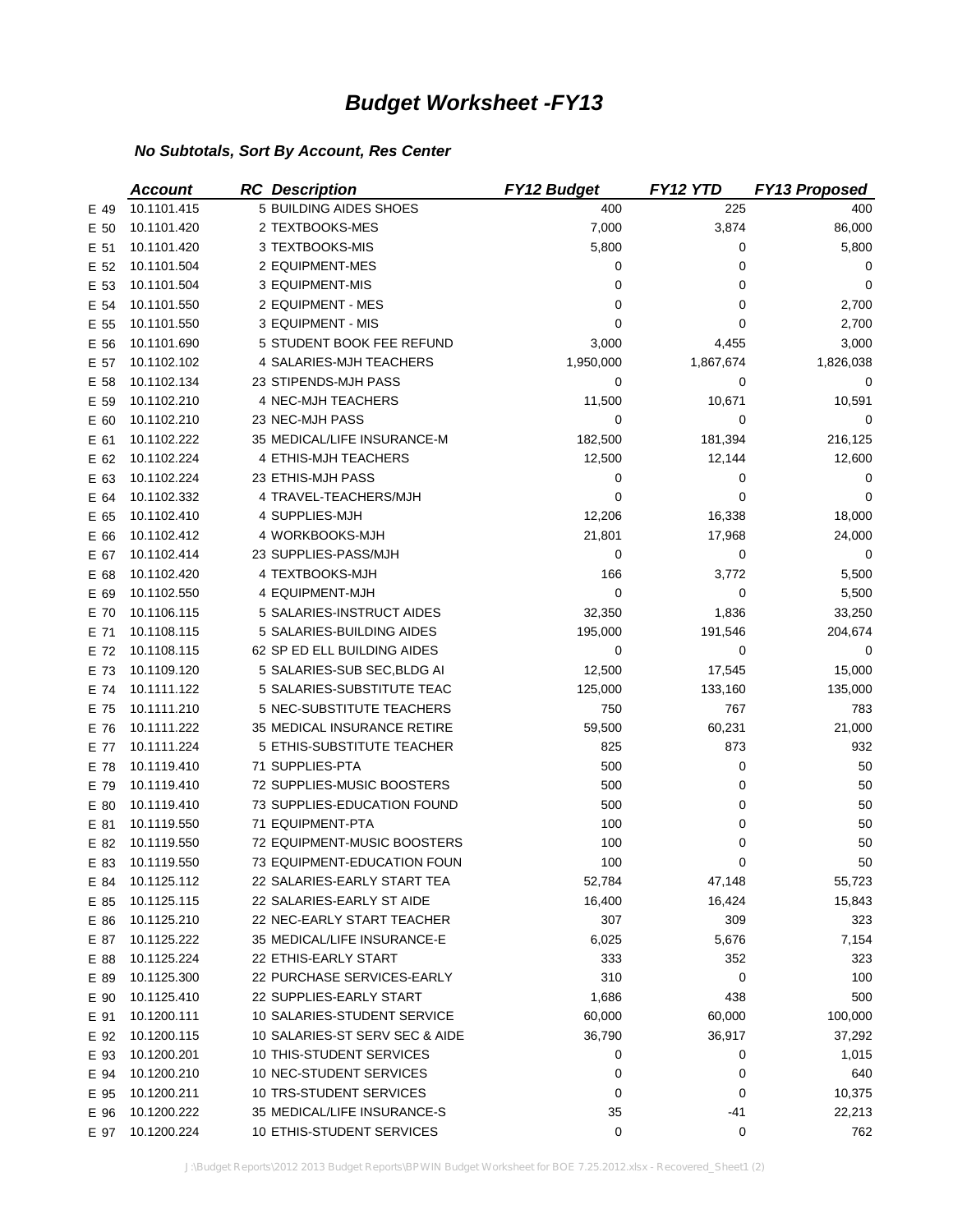|      | <b>Account</b> | <b>RC</b> Description          | <b>FY12 Budget</b> | FY12 YTD  | <b>FY13 Proposed</b> |
|------|----------------|--------------------------------|--------------------|-----------|----------------------|
| E 49 | 10.1101.415    | 5 BUILDING AIDES SHOES         | 400                | 225       | 400                  |
| E 50 | 10.1101.420    | 2 TEXTBOOKS-MES                | 7,000              | 3,874     | 86,000               |
| E 51 | 10.1101.420    | 3 TEXTBOOKS-MIS                | 5,800              | 0         | 5,800                |
| E 52 | 10.1101.504    | 2 EQUIPMENT-MES                | 0                  | 0         | 0                    |
| E 53 | 10.1101.504    | 3 EQUIPMENT-MIS                | 0                  | 0         | 0                    |
| E 54 | 10.1101.550    | 2 EQUIPMENT - MES              | 0                  | 0         | 2,700                |
| E 55 | 10.1101.550    | 3 EQUIPMENT - MIS              | 0                  | 0         | 2,700                |
| E 56 | 10.1101.690    | 5 STUDENT BOOK FEE REFUND      | 3,000              | 4,455     | 3,000                |
| E 57 | 10.1102.102    | 4 SALARIES-MJH TEACHERS        | 1,950,000          | 1,867,674 | 1,826,038            |
| E 58 | 10.1102.134    | 23 STIPENDS-MJH PASS           | 0                  | 0         | 0                    |
| E 59 | 10.1102.210    | 4 NEC-MJH TEACHERS             | 11,500             | 10,671    | 10,591               |
| E 60 | 10.1102.210    | 23 NEC-MJH PASS                | 0                  | 0         | 0                    |
| E 61 | 10.1102.222    | 35 MEDICAL/LIFE INSURANCE-M    | 182,500            | 181,394   | 216,125              |
| E 62 | 10.1102.224    | 4 ETHIS-MJH TEACHERS           | 12,500             | 12,144    | 12,600               |
| E 63 | 10.1102.224    | 23 ETHIS-MJH PASS              | 0                  | 0         | 0                    |
| E 64 | 10.1102.332    | 4 TRAVEL-TEACHERS/MJH          | 0                  | 0         | 0                    |
| E 65 | 10.1102.410    | 4 SUPPLIES-MJH                 | 12,206             | 16,338    | 18,000               |
| E 66 | 10.1102.412    | 4 WORKBOOKS-MJH                | 21,801             | 17,968    | 24,000               |
| E 67 | 10.1102.414    | 23 SUPPLIES-PASS/MJH           | 0                  | 0         | 0                    |
| E 68 | 10.1102.420    | 4 TEXTBOOKS-MJH                | 166                | 3,772     | 5,500                |
| E 69 | 10.1102.550    | 4 EQUIPMENT-MJH                | 0                  | 0         | 5,500                |
| E 70 | 10.1106.115    | 5 SALARIES-INSTRUCT AIDES      | 32,350             | 1,836     | 33,250               |
| E 71 | 10.1108.115    | 5 SALARIES-BUILDING AIDES      | 195,000            | 191,546   | 204,674              |
| E 72 | 10.1108.115    | 62 SP ED ELL BUILDING AIDES    | 0                  | 0         | 0                    |
| E 73 | 10.1109.120    | 5 SALARIES-SUB SEC, BLDG AI    | 12,500             | 17,545    | 15,000               |
| E 74 | 10.1111.122    | 5 SALARIES-SUBSTITUTE TEAC     | 125,000            | 133,160   | 135,000              |
| E 75 | 10.1111.210    | 5 NEC-SUBSTITUTE TEACHERS      | 750                | 767       | 783                  |
| E 76 | 10.1111.222    | 35 MEDICAL INSURANCE RETIRE    | 59,500             | 60,231    | 21,000               |
| E 77 | 10.1111.224    | 5 ETHIS-SUBSTITUTE TEACHER     | 825                | 873       | 932                  |
| E 78 | 10.1119.410    | 71 SUPPLIES-PTA                | 500                | 0         | 50                   |
| E 79 | 10.1119.410    | 72 SUPPLIES-MUSIC BOOSTERS     | 500                | 0         | 50                   |
| E 80 | 10.1119.410    | 73 SUPPLIES-EDUCATION FOUND    | 500                | 0         | 50                   |
| E 81 | 10.1119.550    | 71 EQUIPMENT-PTA               | 100                | 0         | 50                   |
| E 82 | 10.1119.550    | 72 EQUIPMENT-MUSIC BOOSTERS    | 100                | 0         | 50                   |
| E 83 | 10.1119.550    | 73 EQUIPMENT-EDUCATION FOUN    | 100                | 0         | 50                   |
| E 84 | 10.1125.112    | 22 SALARIES-EARLY START TEA    | 52,784             | 47,148    | 55,723               |
| E 85 | 10.1125.115    | 22 SALARIES-EARLY ST AIDE      | 16,400             | 16,424    | 15,843               |
| E 86 | 10.1125.210    | 22 NEC-EARLY START TEACHER     | 307                | 309       | 323                  |
| E 87 | 10.1125.222    | 35 MEDICAL/LIFE INSURANCE-E    | 6,025              | 5,676     | 7,154                |
| E 88 | 10.1125.224    | 22 ETHIS-EARLY START           | 333                | 352       | 323                  |
| E 89 | 10.1125.300    | 22 PURCHASE SERVICES-EARLY     | 310                | 0         | 100                  |
| E 90 | 10.1125.410    | 22 SUPPLIES-EARLY START        | 1,686              | 438       | 500                  |
| E 91 | 10.1200.111    | 10 SALARIES-STUDENT SERVICE    | 60,000             | 60,000    | 100,000              |
| E 92 | 10.1200.115    | 10 SALARIES-ST SERV SEC & AIDE | 36,790             | 36,917    | 37,292               |
| E 93 | 10.1200.201    | 10 THIS-STUDENT SERVICES       | 0                  | 0         | 1,015                |
| E 94 | 10.1200.210    | 10 NEC-STUDENT SERVICES        | 0                  | 0         | 640                  |
| E 95 | 10.1200.211    | 10 TRS-STUDENT SERVICES        | 0                  | 0         | 10,375               |
| E 96 | 10.1200.222    | 35 MEDICAL/LIFE INSURANCE-S    | 35                 | $-41$     | 22,213               |
| E 97 | 10.1200.224    | 10 ETHIS-STUDENT SERVICES      | 0                  | 0         | 762                  |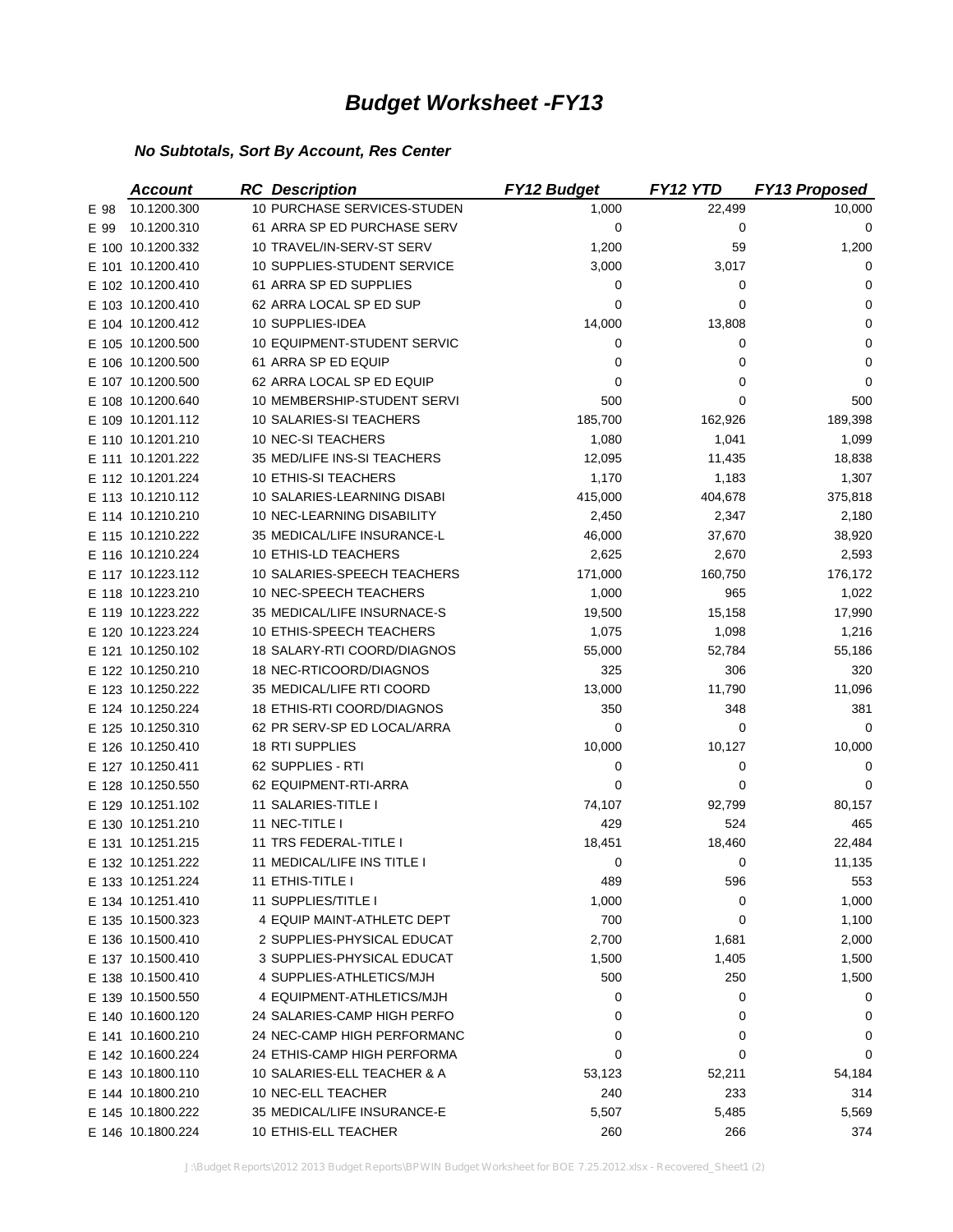|      | <b>Account</b>    | <b>RC</b> Description             | <b>FY12 Budget</b> | FY12 YTD | <b>FY13 Proposed</b> |
|------|-------------------|-----------------------------------|--------------------|----------|----------------------|
| E 98 | 10.1200.300       | 10 PURCHASE SERVICES-STUDEN       | 1,000              | 22,499   | 10,000               |
| E 99 | 10.1200.310       | 61 ARRA SP ED PURCHASE SERV       | 0                  | 0        | 0                    |
|      | E 100 10.1200.332 | 10 TRAVEL/IN-SERV-ST SERV         | 1,200              | 59       | 1,200                |
|      | E 101 10.1200.410 | 10 SUPPLIES-STUDENT SERVICE       | 3,000              | 3,017    | 0                    |
|      | E 102 10.1200.410 | 61 ARRA SP ED SUPPLIES            | 0                  | 0        | 0                    |
|      | E 103 10.1200.410 | 62 ARRA LOCAL SP ED SUP           | 0                  | 0        | 0                    |
|      | E 104 10.1200.412 | 10 SUPPLIES-IDEA                  | 14,000             | 13,808   | 0                    |
|      | E 105 10.1200.500 | 10 EQUIPMENT-STUDENT SERVIC       | 0                  | 0        | 0                    |
|      | E 106 10.1200.500 | 61 ARRA SP ED EQUIP               | 0                  | 0        | 0                    |
|      | E 107 10.1200.500 | 62 ARRA LOCAL SP ED EQUIP         | 0                  | 0        | 0                    |
|      | E 108 10.1200.640 | 10 MEMBERSHIP-STUDENT SERVI       | 500                | 0        | 500                  |
|      | E 109 10.1201.112 | 10 SALARIES-SI TEACHERS           | 185,700            | 162,926  | 189,398              |
|      | E 110 10.1201.210 | 10 NEC-SI TEACHERS                | 1,080              | 1,041    | 1,099                |
|      | E 111 10.1201.222 | 35 MED/LIFE INS-SI TEACHERS       | 12,095             | 11,435   | 18,838               |
|      | E 112 10.1201.224 | 10 ETHIS-SI TEACHERS              | 1,170              | 1,183    | 1,307                |
|      | E 113 10.1210.112 | 10 SALARIES-LEARNING DISABI       | 415,000            | 404,678  | 375,818              |
|      | E 114 10.1210.210 | 10 NEC-LEARNING DISABILITY        | 2,450              | 2,347    | 2,180                |
|      | E 115 10.1210.222 | 35 MEDICAL/LIFE INSURANCE-L       | 46,000             | 37,670   | 38,920               |
|      | E 116 10.1210.224 | 10 ETHIS-LD TEACHERS              | 2,625              | 2,670    | 2,593                |
|      | E 117 10.1223.112 | 10 SALARIES-SPEECH TEACHERS       | 171,000            | 160,750  | 176,172              |
|      | E 118 10.1223.210 | 10 NEC-SPEECH TEACHERS            | 1,000              | 965      | 1,022                |
|      | E 119 10.1223.222 | 35 MEDICAL/LIFE INSURNACE-S       | 19,500             | 15,158   | 17,990               |
|      | E 120 10.1223.224 | 10 ETHIS-SPEECH TEACHERS          | 1,075              | 1,098    | 1,216                |
|      | E 121 10.1250.102 | 18 SALARY-RTI COORD/DIAGNOS       | 55,000             | 52,784   | 55,186               |
|      | E 122 10.1250.210 | 18 NEC-RTICOORD/DIAGNOS           | 325                | 306      | 320                  |
|      | E 123 10.1250.222 | 35 MEDICAL/LIFE RTI COORD         | 13,000             | 11,790   | 11,096               |
|      | E 124 10.1250.224 | <b>18 ETHIS-RTI COORD/DIAGNOS</b> | 350                | 348      | 381                  |
|      | E 125 10.1250.310 | 62 PR SERV-SP ED LOCAL/ARRA       | 0                  | 0        | 0                    |
|      | E 126 10.1250.410 | <b>18 RTI SUPPLIES</b>            | 10,000             | 10,127   | 10,000               |
|      | E 127 10.1250.411 | 62 SUPPLIES - RTI                 | 0                  | 0        | 0                    |
|      | E 128 10.1250.550 | 62 EQUIPMENT-RTI-ARRA             | 0                  | 0        | 0                    |
|      | E 129 10.1251.102 | 11 SALARIES-TITLE I               | 74,107             | 92,799   | 80,157               |
|      | E 130 10.1251.210 | 11 NEC-TITLE I                    | 429                | 524      | 465                  |
|      | E 131 10.1251.215 | 11 TRS FEDERAL-TITLE I            | 18,451             | 18,460   | 22,484               |
|      | E 132 10.1251.222 | 11 MEDICAL/LIFE INS TITLE I       | 0                  | 0        | 11,135               |
|      | E 133 10.1251.224 | 11 ETHIS-TITLE I                  | 489                | 596      | 553                  |
|      | E 134 10.1251.410 | 11 SUPPLIES/TITLE I               | 1,000              | 0        | 1,000                |
|      | E 135 10.1500.323 | 4 EQUIP MAINT-ATHLETC DEPT        | 700                | 0        | 1,100                |
|      | E 136 10.1500.410 | 2 SUPPLIES-PHYSICAL EDUCAT        | 2,700              | 1,681    | 2,000                |
|      | E 137 10.1500.410 | 3 SUPPLIES-PHYSICAL EDUCAT        | 1,500              | 1,405    | 1,500                |
|      | E 138 10.1500.410 | 4 SUPPLIES-ATHLETICS/MJH          | 500                | 250      | 1,500                |
|      | E 139 10.1500.550 | 4 EQUIPMENT-ATHLETICS/MJH         | 0                  | 0        | 0                    |
|      | E 140 10.1600.120 | 24 SALARIES-CAMP HIGH PERFO       | 0                  | 0        | 0                    |
|      | E 141 10.1600.210 | 24 NEC-CAMP HIGH PERFORMANC       | 0                  | 0        | 0                    |
|      | E 142 10.1600.224 | 24 ETHIS-CAMP HIGH PERFORMA       | 0                  | 0        | 0                    |
|      | E 143 10.1800.110 | 10 SALARIES-ELL TEACHER & A       | 53,123             | 52,211   | 54,184               |
|      | E 144 10.1800.210 | 10 NEC-ELL TEACHER                | 240                | 233      | 314                  |
|      | E 145 10.1800.222 | 35 MEDICAL/LIFE INSURANCE-E       | 5,507              | 5,485    | 5,569                |
|      | E 146 10.1800.224 | 10 ETHIS-ELL TEACHER              | 260                | 266      | 374                  |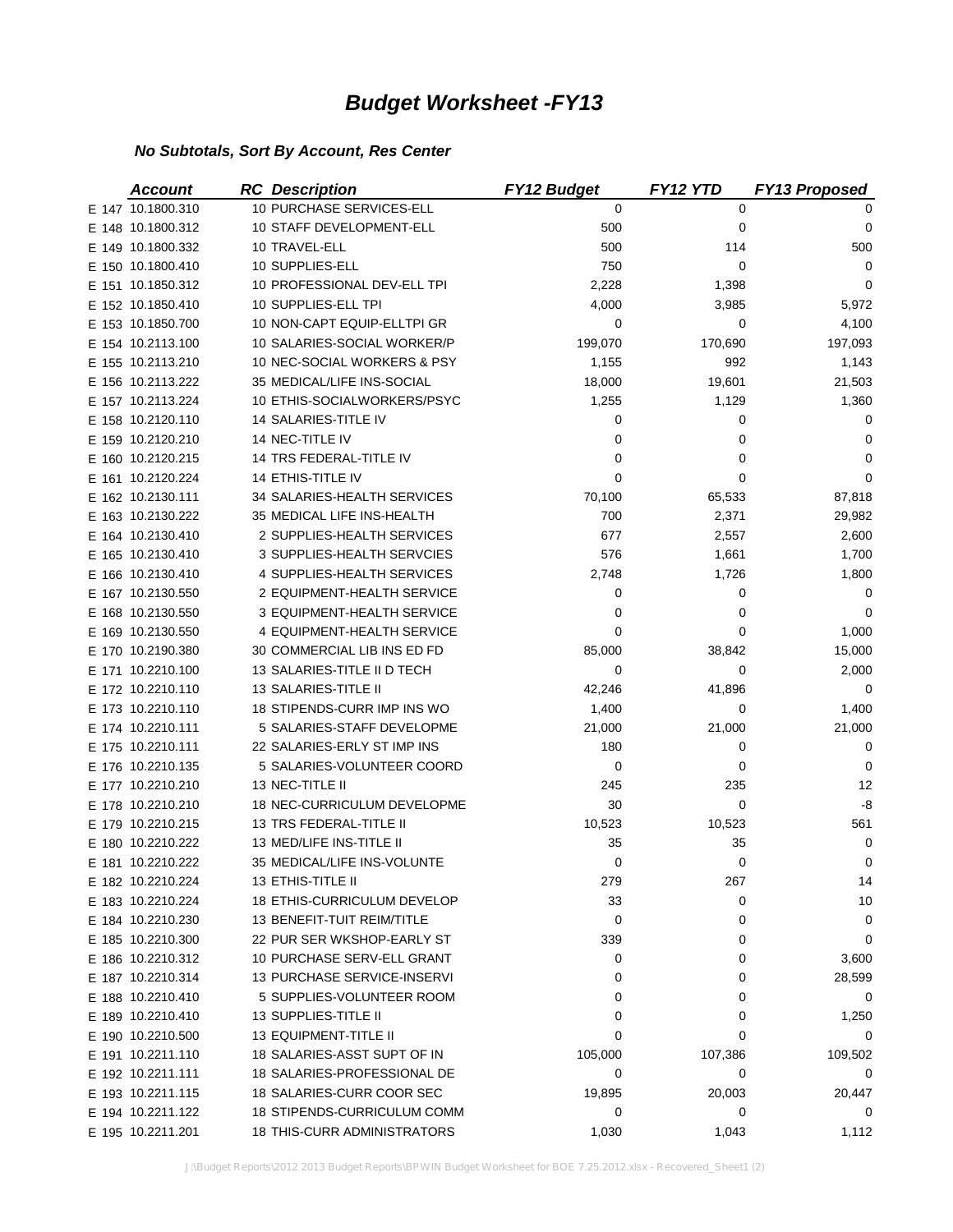| <b>Account</b>    | <b>RC</b> Description              | <b>FY12 Budget</b> | FY12 YTD     | <b>FY13 Proposed</b> |
|-------------------|------------------------------------|--------------------|--------------|----------------------|
| E 147 10.1800.310 | 10 PURCHASE SERVICES-ELL           | 0                  | 0            | 0                    |
| E 148 10.1800.312 | 10 STAFF DEVELOPMENT-ELL           | 500                | 0            | 0                    |
| E 149 10.1800.332 | 10 TRAVEL-ELL                      | 500                | 114          | 500                  |
| E 150 10.1800.410 | 10 SUPPLIES-ELL                    | 750                | 0            | 0                    |
| E 151 10.1850.312 | 10 PROFESSIONAL DEV-ELL TPI        | 2,228              | 1,398        | 0                    |
| E 152 10.1850.410 | 10 SUPPLIES-ELL TPI                | 4,000              | 3,985        | 5,972                |
| E 153 10.1850.700 | 10 NON-CAPT EQUIP-ELLTPI GR        | 0                  | 0            | 4,100                |
| E 154 10.2113.100 | 10 SALARIES-SOCIAL WORKER/P        | 199,070            | 170,690      | 197,093              |
| E 155 10.2113.210 | 10 NEC-SOCIAL WORKERS & PSY        | 1,155              | 992          | 1,143                |
| E 156 10.2113.222 | 35 MEDICAL/LIFE INS-SOCIAL         | 18,000             | 19,601       | 21,503               |
| E 157 10.2113.224 | 10 ETHIS-SOCIALWORKERS/PSYC        | 1,255              | 1,129        | 1,360                |
| E 158 10.2120.110 | 14 SALARIES-TITLE IV               | 0                  | 0            | 0                    |
| E 159 10.2120.210 | 14 NEC-TITLE IV                    | 0                  | 0            | 0                    |
| E 160 10.2120.215 | 14 TRS FEDERAL-TITLE IV            | 0                  | 0            | 0                    |
| E 161 10.2120.224 | 14 ETHIS-TITLE IV                  | 0                  | 0            | 0                    |
| E 162 10.2130.111 | 34 SALARIES-HEALTH SERVICES        | 70,100             | 65,533       | 87,818               |
| E 163 10.2130.222 | 35 MEDICAL LIFE INS-HEALTH         | 700                | 2,371        | 29,982               |
| E 164 10.2130.410 | 2 SUPPLIES-HEALTH SERVICES         | 677                | 2,557        | 2,600                |
| E 165 10.2130.410 | 3 SUPPLIES-HEALTH SERVCIES         | 576                | 1,661        | 1,700                |
| E 166 10.2130.410 | 4 SUPPLIES-HEALTH SERVICES         | 2,748              | 1,726        | 1,800                |
| E 167 10.2130.550 | 2 EQUIPMENT-HEALTH SERVICE         | 0                  | 0            | 0                    |
| E 168 10.2130.550 | 3 EQUIPMENT-HEALTH SERVICE         | 0                  | 0            | 0                    |
| E 169 10.2130.550 | 4 EQUIPMENT-HEALTH SERVICE         | 0                  | 0            | 1,000                |
| E 170 10.2190.380 | 30 COMMERCIAL LIB INS ED FD        | 85,000             | 38,842       | 15,000               |
| E 171 10.2210.100 | 13 SALARIES-TITLE II D TECH        | 0                  | 0            | 2,000                |
| E 172 10.2210.110 | 13 SALARIES-TITLE II               | 42,246             | 41,896       | 0                    |
| E 173 10.2210.110 | 18 STIPENDS-CURR IMP INS WO        | 1,400              | 0            | 1,400                |
| E 174 10.2210.111 | 5 SALARIES-STAFF DEVELOPME         | 21,000             | 21,000       | 21,000               |
| E 175 10.2210.111 | 22 SALARIES-ERLY ST IMP INS        | 180                | 0            | 0                    |
| E 176 10.2210.135 | 5 SALARIES-VOLUNTEER COORD         | 0                  | 0            | 0                    |
| E 177 10.2210.210 | 13 NEC-TITLE II                    | 245                | 235          | 12                   |
| E 178 10.2210.210 | 18 NEC-CURRICULUM DEVELOPME        | 30                 | $\mathbf 0$  | -8                   |
| E 179 10.2210.215 | 13 TRS FEDERAL-TITLE II            | 10,523             | 10,523       | 561                  |
| E 180 10.2210.222 | 13 MED/LIFE INS-TITLE II           | 35                 | 35           | 0                    |
| E 181 10.2210.222 | 35 MEDICAL/LIFE INS-VOLUNTE        | 0                  | 0            | 0                    |
| E 182 10.2210.224 | 13 ETHIS-TITLE II                  | 279                | 267          | 14                   |
| E 183 10.2210.224 | 18 ETHIS-CURRICULUM DEVELOP        | 33                 | 0            | 10                   |
| E 184 10.2210.230 | 13 BENEFIT-TUIT REIM/TITLE         | 0                  | 0            | 0                    |
| E 185 10.2210.300 | 22 PUR SER WKSHOP-EARLY ST         | 339                | 0            | 0                    |
| E 186 10.2210.312 | 10 PURCHASE SERV-ELL GRANT         | 0                  | 0            | 3,600                |
| E 187 10.2210.314 | <b>13 PURCHASE SERVICE-INSERVI</b> | 0                  | 0            | 28,599               |
| E 188 10.2210.410 | 5 SUPPLIES-VOLUNTEER ROOM          | 0                  | 0            | 0                    |
| E 189 10.2210.410 | 13 SUPPLIES-TITLE II               | 0                  | 0            | 1,250                |
| E 190 10.2210.500 | 13 EQUIPMENT-TITLE II              | 0                  | 0            | 0                    |
| E 191 10.2211.110 | 18 SALARIES-ASST SUPT OF IN        |                    |              |                      |
| E 192 10.2211.111 | 18 SALARIES-PROFESSIONAL DE        | 105,000<br>0       | 107,386<br>0 | 109,502<br>0         |
| E 193 10.2211.115 | 18 SALARIES-CURR COOR SEC          |                    |              |                      |
|                   |                                    | 19,895             | 20,003       | 20,447<br>0          |
| E 194 10.2211.122 | 18 STIPENDS-CURRICULUM COMM        | 0                  | 0            |                      |
| E 195 10.2211.201 | <b>18 THIS-CURR ADMINISTRATORS</b> | 1,030              | 1,043        | 1,112                |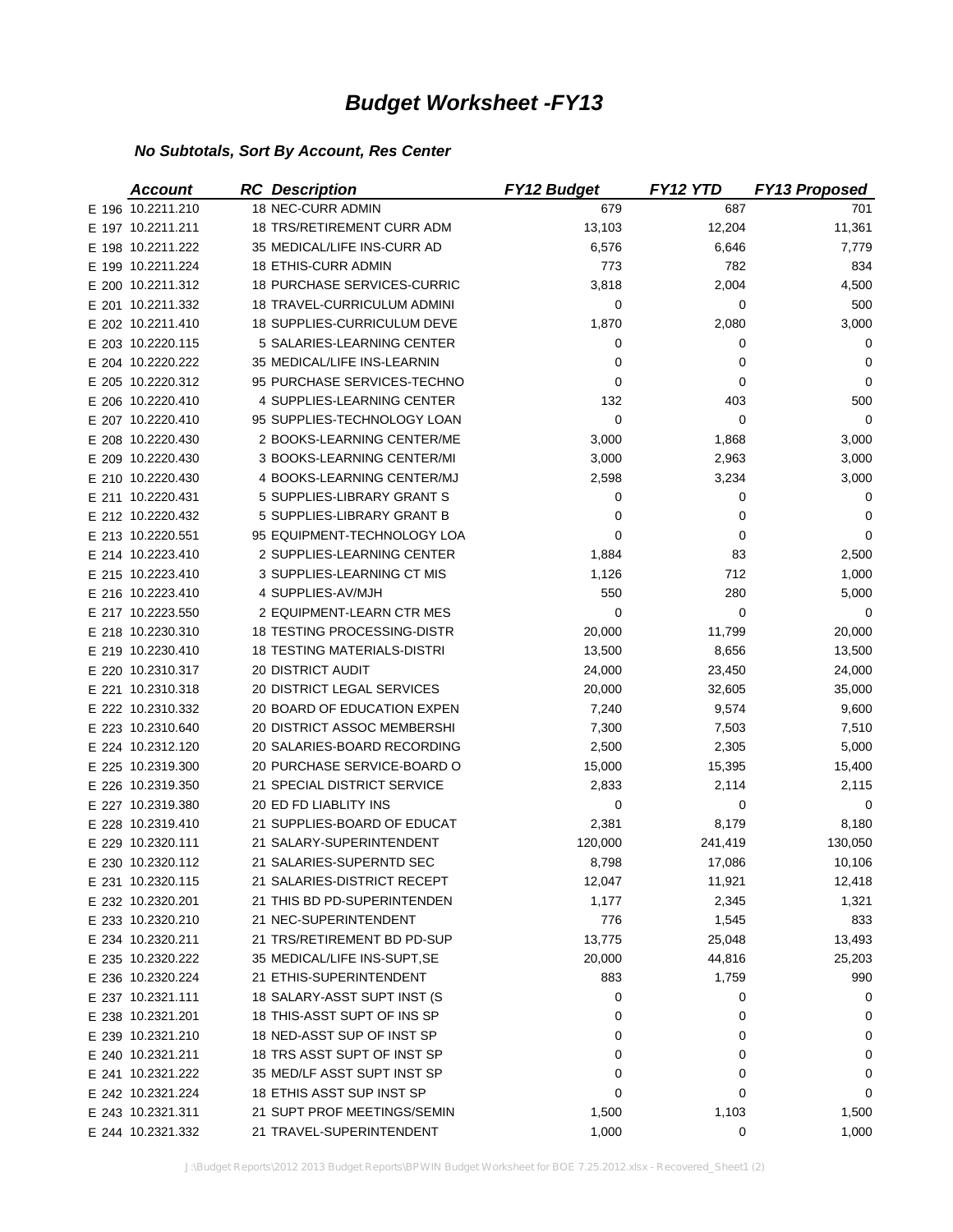| <b>Account</b>    | <b>RC</b> Description              | <b>FY12 Budget</b> | FY12 YTD | <b>FY13 Proposed</b> |
|-------------------|------------------------------------|--------------------|----------|----------------------|
| E 196 10.2211.210 | <b>18 NEC-CURR ADMIN</b>           | 679                | 687      | 701                  |
| E 197 10.2211.211 | <b>18 TRS/RETIREMENT CURR ADM</b>  | 13,103             | 12,204   | 11,361               |
| E 198 10.2211.222 | 35 MEDICAL/LIFE INS-CURR AD        | 6,576              | 6,646    | 7,779                |
| E 199 10.2211.224 | 18 ETHIS-CURR ADMIN                | 773                | 782      | 834                  |
| E 200 10.2211.312 | <b>18 PURCHASE SERVICES-CURRIC</b> | 3,818              | 2,004    | 4,500                |
| E 201 10.2211.332 | <b>18 TRAVEL-CURRICULUM ADMINI</b> | 0                  | 0        | 500                  |
| E 202 10.2211.410 | <b>18 SUPPLIES-CURRICULUM DEVE</b> | 1,870              | 2,080    | 3,000                |
| E 203 10.2220.115 | 5 SALARIES-LEARNING CENTER         | 0                  | 0        | 0                    |
| E 204 10.2220.222 | 35 MEDICAL/LIFE INS-LEARNIN        | 0                  | 0        | 0                    |
| E 205 10.2220.312 | 95 PURCHASE SERVICES-TECHNO        | 0                  | 0        | 0                    |
| E 206 10.2220.410 | 4 SUPPLIES-LEARNING CENTER         | 132                | 403      | 500                  |
| E 207 10.2220.410 | 95 SUPPLIES-TECHNOLOGY LOAN        | 0                  | 0        | 0                    |
| E 208 10.2220.430 | 2 BOOKS-LEARNING CENTER/ME         | 3,000              | 1,868    | 3,000                |
| E 209 10.2220.430 | 3 BOOKS-LEARNING CENTER/MI         | 3,000              | 2,963    | 3,000                |
| E 210 10.2220.430 | 4 BOOKS-LEARNING CENTER/MJ         | 2,598              | 3,234    | 3,000                |
| E 211 10.2220.431 | 5 SUPPLIES-LIBRARY GRANT S         | 0                  | 0        | 0                    |
| E 212 10.2220.432 | 5 SUPPLIES-LIBRARY GRANT B         | 0                  | 0        | 0                    |
| E 213 10.2220.551 | 95 EQUIPMENT-TECHNOLOGY LOA        | 0                  | 0        | 0                    |
| E 214 10.2223.410 | 2 SUPPLIES-LEARNING CENTER         | 1,884              | 83       | 2,500                |
| E 215 10.2223.410 | 3 SUPPLIES-LEARNING CT MIS         | 1,126              | 712      | 1,000                |
| E 216 10.2223.410 | 4 SUPPLIES-AV/MJH                  | 550                | 280      | 5,000                |
| E 217 10.2223.550 | 2 EQUIPMENT-LEARN CTR MES          | $\mathbf 0$        | 0        | 0                    |
| E 218 10.2230.310 | <b>18 TESTING PROCESSING-DISTR</b> | 20,000             | 11,799   | 20,000               |
| E 219 10.2230.410 | <b>18 TESTING MATERIALS-DISTRI</b> | 13,500             | 8,656    | 13,500               |
| E 220 10.2310.317 | <b>20 DISTRICT AUDIT</b>           | 24,000             | 23,450   | 24,000               |
| E 221 10.2310.318 | 20 DISTRICT LEGAL SERVICES         | 20,000             | 32,605   | 35,000               |
| E 222 10.2310.332 | 20 BOARD OF EDUCATION EXPEN        | 7,240              | 9,574    | 9,600                |
| E 223 10.2310.640 | 20 DISTRICT ASSOC MEMBERSHI        | 7,300              | 7,503    | 7,510                |
| E 224 10.2312.120 | 20 SALARIES-BOARD RECORDING        | 2,500              | 2,305    | 5,000                |
| E 225 10.2319.300 | 20 PURCHASE SERVICE-BOARD O        | 15,000             | 15,395   | 15,400               |
| E 226 10.2319.350 | 21 SPECIAL DISTRICT SERVICE        | 2,833              | 2,114    | 2,115                |
| E 227 10.2319.380 | 20 ED FD LIABLITY INS              | $\mathbf 0$        | 0        | 0                    |
| E 228 10.2319.410 | 21 SUPPLIES-BOARD OF EDUCAT        | 2,381              | 8,179    | 8,180                |
| E 229 10.2320.111 | 21 SALARY-SUPERINTENDENT           | 120,000            | 241,419  | 130,050              |
| E 230 10.2320.112 | 21 SALARIES-SUPERNTD SEC           | 8,798              | 17,086   | 10,106               |
| E 231 10.2320.115 | 21 SALARIES-DISTRICT RECEPT        | 12,047             | 11,921   | 12,418               |
| E 232 10.2320.201 | 21 THIS BD PD-SUPERINTENDEN        | 1,177              | 2,345    | 1,321                |
| E 233 10.2320.210 | 21 NEC-SUPERINTENDENT              | 776                | 1,545    | 833                  |
| E 234 10.2320.211 | 21 TRS/RETIREMENT BD PD-SUP        | 13,775             | 25,048   | 13,493               |
| E 235 10.2320.222 | 35 MEDICAL/LIFE INS-SUPT, SE       | 20,000             | 44,816   | 25,203               |
| E 236 10.2320.224 | 21 ETHIS-SUPERINTENDENT            | 883                | 1,759    | 990                  |
| E 237 10.2321.111 | 18 SALARY-ASST SUPT INST (S        | 0                  | 0        | 0                    |
| E 238 10.2321.201 | 18 THIS-ASST SUPT OF INS SP        | 0                  | 0        | 0                    |
| E 239 10.2321.210 | 18 NED-ASST SUP OF INST SP         | 0                  | 0        | 0                    |
| E 240 10.2321.211 | 18 TRS ASST SUPT OF INST SP        | 0                  | 0        | 0                    |
| E 241 10.2321.222 | 35 MED/LF ASST SUPT INST SP        | 0                  | 0        | 0                    |
| E 242 10.2321.224 | 18 ETHIS ASST SUP INST SP          | 0                  | 0        | 0                    |
| E 243 10.2321.311 | 21 SUPT PROF MEETINGS/SEMIN        | 1,500              | 1,103    | 1,500                |
| E 244 10.2321.332 | 21 TRAVEL-SUPERINTENDENT           | 1,000              | 0        | 1,000                |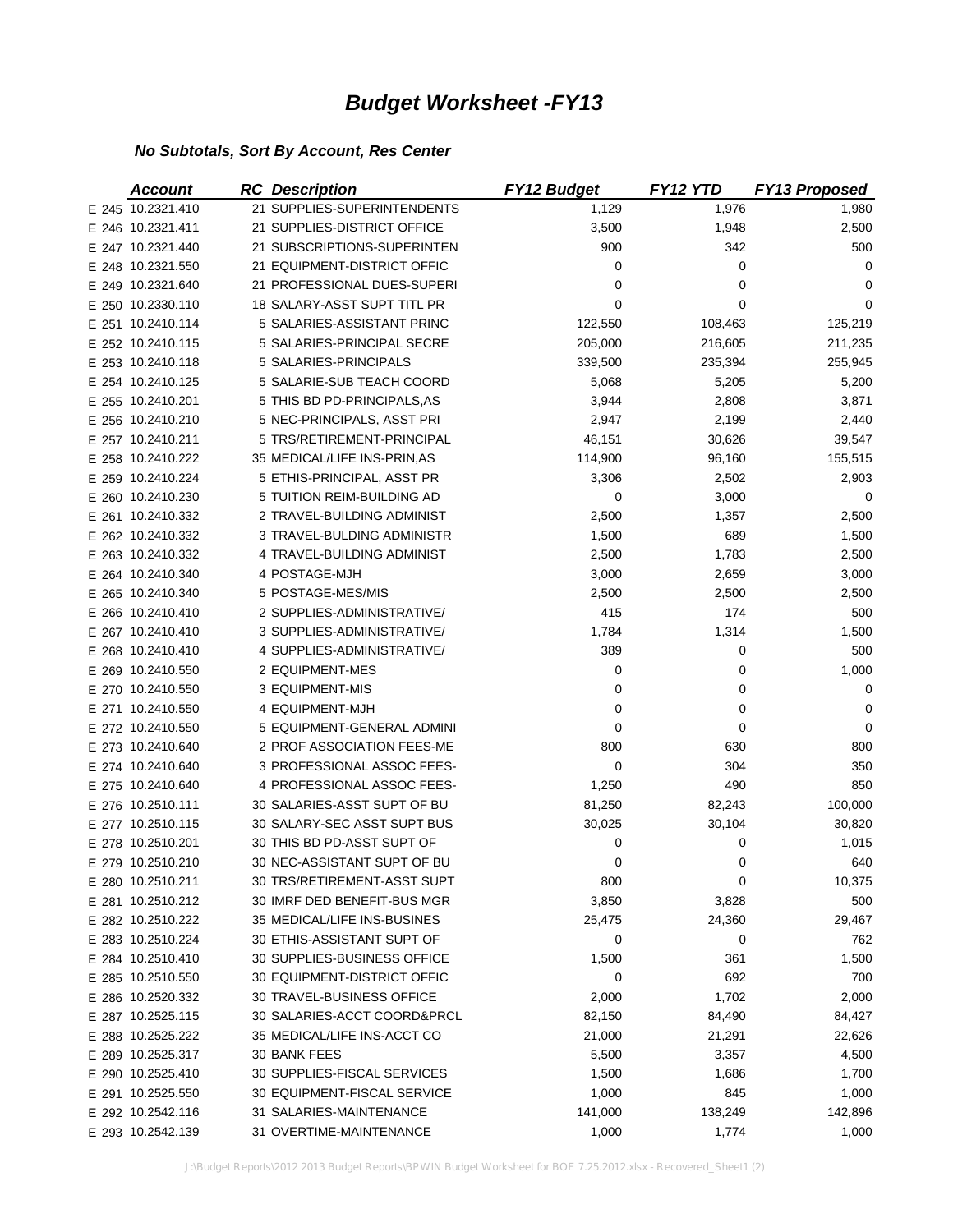| <b>Account</b>    | <b>RC</b> Description              | <b>FY12 Budget</b> | FY12 YTD | <b>FY13 Proposed</b> |
|-------------------|------------------------------------|--------------------|----------|----------------------|
| E 245 10.2321.410 | 21 SUPPLIES-SUPERINTENDENTS        | 1,129              | 1,976    | 1,980                |
| E 246 10.2321.411 | 21 SUPPLIES-DISTRICT OFFICE        | 3,500              | 1,948    | 2,500                |
| E 247 10.2321.440 | 21 SUBSCRIPTIONS-SUPERINTEN        | 900                | 342      | 500                  |
| E 248 10.2321.550 | 21 EQUIPMENT-DISTRICT OFFIC        | 0                  | 0        | 0                    |
| E 249 10.2321.640 | 21 PROFESSIONAL DUES-SUPERI        | 0                  | 0        | 0                    |
| E 250 10.2330.110 | 18 SALARY-ASST SUPT TITL PR        | 0                  | 0        | 0                    |
| E 251 10.2410.114 | 5 SALARIES-ASSISTANT PRINC         | 122,550            | 108,463  | 125,219              |
| E 252 10.2410.115 | 5 SALARIES-PRINCIPAL SECRE         | 205,000            | 216,605  | 211,235              |
| E 253 10.2410.118 | 5 SALARIES-PRINCIPALS              | 339,500            | 235,394  | 255,945              |
| E 254 10.2410.125 | 5 SALARIE-SUB TEACH COORD          | 5,068              | 5,205    | 5,200                |
| E 255 10.2410.201 | 5 THIS BD PD-PRINCIPALS, AS        | 3,944              | 2,808    | 3,871                |
| E 256 10.2410.210 | 5 NEC-PRINCIPALS, ASST PRI         | 2,947              | 2,199    | 2,440                |
| E 257 10.2410.211 | 5 TRS/RETIREMENT-PRINCIPAL         | 46,151             | 30,626   | 39,547               |
| E 258 10.2410.222 | 35 MEDICAL/LIFE INS-PRIN, AS       | 114,900            | 96,160   | 155,515              |
| E 259 10.2410.224 | 5 ETHIS-PRINCIPAL, ASST PR         | 3,306              | 2,502    | 2,903                |
| E 260 10.2410.230 | 5 TUITION REIM-BUILDING AD         | 0                  | 3,000    | 0                    |
| E 261 10.2410.332 | 2 TRAVEL-BUILDING ADMINIST         | 2,500              | 1,357    | 2,500                |
| E 262 10.2410.332 | 3 TRAVEL-BULDING ADMINISTR         | 1,500              | 689      | 1,500                |
| E 263 10.2410.332 | 4 TRAVEL-BUILDING ADMINIST         | 2,500              | 1,783    | 2,500                |
| E 264 10.2410.340 | 4 POSTAGE-MJH                      | 3,000              | 2,659    | 3,000                |
| E 265 10.2410.340 | 5 POSTAGE-MES/MIS                  | 2,500              | 2,500    | 2,500                |
| E 266 10.2410.410 | 2 SUPPLIES-ADMINISTRATIVE/         | 415                | 174      | 500                  |
| E 267 10.2410.410 | 3 SUPPLIES-ADMINISTRATIVE/         | 1,784              | 1,314    | 1,500                |
| E 268 10.2410.410 | 4 SUPPLIES-ADMINISTRATIVE/         | 389                | 0        | 500                  |
| E 269 10.2410.550 | 2 EQUIPMENT-MES                    | 0                  | 0        | 1,000                |
| E 270 10.2410.550 | 3 EQUIPMENT-MIS                    | 0                  | 0        | 0                    |
| E 271 10.2410.550 | 4 EQUIPMENT-MJH                    | 0                  | 0        | 0                    |
| E 272 10.2410.550 | 5 EQUIPMENT-GENERAL ADMINI         | 0                  | 0        | $\mathbf 0$          |
| E 273 10.2410.640 | 2 PROF ASSOCIATION FEES-ME         | 800                | 630      | 800                  |
| E 274 10.2410.640 | 3 PROFESSIONAL ASSOC FEES-         | 0                  | 304      | 350                  |
| E 275 10.2410.640 | 4 PROFESSIONAL ASSOC FEES-         | 1,250              | 490      | 850                  |
| E 276 10.2510.111 | 30 SALARIES-ASST SUPT OF BU        | 81,250             | 82,243   | 100,000              |
| E 277 10.2510.115 | 30 SALARY-SEC ASST SUPT BUS        | 30,025             | 30,104   | 30,820               |
| E 278 10.2510.201 | 30 THIS BD PD-ASST SUPT OF         | 0                  | 0        | 1,015                |
| E 279 10.2510.210 | 30 NEC-ASSISTANT SUPT OF BU        | 0                  | 0        | 640                  |
| E 280 10.2510.211 | 30 TRS/RETIREMENT-ASST SUPT        | 800                | 0        | 10,375               |
| E 281 10.2510.212 | 30 IMRF DED BENEFIT-BUS MGR        | 3,850              | 3,828    | 500                  |
| E 282 10.2510.222 | <b>35 MEDICAL/LIFE INS-BUSINES</b> | 25,475             | 24,360   | 29,467               |
| E 283 10.2510.224 | 30 ETHIS-ASSISTANT SUPT OF         | 0                  | 0        | 762                  |
| E 284 10.2510.410 | 30 SUPPLIES-BUSINESS OFFICE        | 1,500              | 361      | 1,500                |
| E 285 10.2510.550 | 30 EQUIPMENT-DISTRICT OFFIC        | 0                  | 692      | 700                  |
| E 286 10.2520.332 | 30 TRAVEL-BUSINESS OFFICE          | 2,000              | 1,702    | 2,000                |
| E 287 10.2525.115 | 30 SALARIES-ACCT COORD&PRCL        | 82,150             | 84,490   | 84,427               |
| E 288 10.2525.222 | 35 MEDICAL/LIFE INS-ACCT CO        | 21,000             | 21,291   | 22,626               |
| E 289 10.2525.317 | 30 BANK FEES                       | 5,500              | 3,357    | 4,500                |
| E 290 10.2525.410 | 30 SUPPLIES-FISCAL SERVICES        | 1,500              | 1,686    | 1,700                |
| E 291 10.2525.550 | 30 EQUIPMENT-FISCAL SERVICE        | 1,000              | 845      | 1,000                |
| E 292 10.2542.116 | 31 SALARIES-MAINTENANCE            | 141,000            | 138,249  | 142,896              |
| E 293 10.2542.139 | 31 OVERTIME-MAINTENANCE            | 1,000              | 1,774    | 1,000                |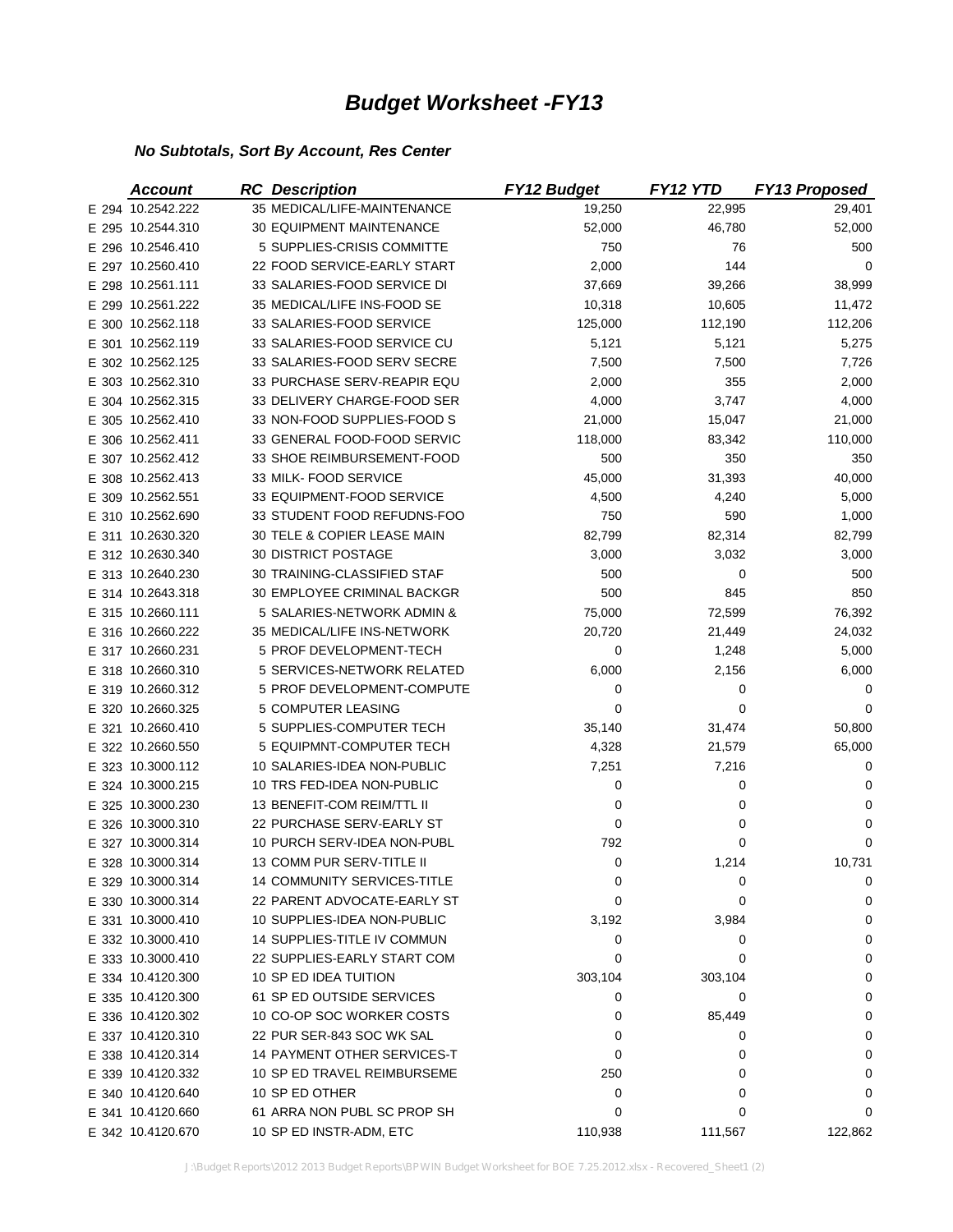| <b>Account</b>    | <b>RC</b> Description              | <b>FY12 Budget</b> | FY12 YTD | <b>FY13 Proposed</b> |
|-------------------|------------------------------------|--------------------|----------|----------------------|
| E 294 10.2542.222 | 35 MEDICAL/LIFE-MAINTENANCE        | 19,250             | 22,995   | 29,401               |
| E 295 10.2544.310 | 30 EQUIPMENT MAINTENANCE           | 52,000             | 46,780   | 52,000               |
| E 296 10.2546.410 | 5 SUPPLIES-CRISIS COMMITTE         | 750                | 76       | 500                  |
| E 297 10.2560.410 | 22 FOOD SERVICE-EARLY START        | 2,000              | 144      | 0                    |
| E 298 10.2561.111 | 33 SALARIES-FOOD SERVICE DI        | 37,669             | 39,266   | 38,999               |
| E 299 10.2561.222 | 35 MEDICAL/LIFE INS-FOOD SE        | 10,318             | 10,605   | 11,472               |
| E 300 10.2562.118 | 33 SALARIES-FOOD SERVICE           | 125,000            | 112,190  | 112,206              |
| E 301 10.2562.119 | 33 SALARIES-FOOD SERVICE CU        | 5,121              | 5,121    | 5,275                |
| E 302 10.2562.125 | 33 SALARIES-FOOD SERV SECRE        | 7,500              | 7,500    | 7,726                |
| E 303 10.2562.310 | 33 PURCHASE SERV-REAPIR EQU        | 2,000              | 355      | 2,000                |
| E 304 10.2562.315 | 33 DELIVERY CHARGE-FOOD SER        | 4,000              | 3,747    | 4,000                |
| E 305 10.2562.410 | 33 NON-FOOD SUPPLIES-FOOD S        | 21,000             | 15,047   | 21,000               |
| E 306 10.2562.411 | 33 GENERAL FOOD-FOOD SERVIC        | 118,000            | 83,342   | 110,000              |
| E 307 10.2562.412 | 33 SHOE REIMBURSEMENT-FOOD         | 500                | 350      | 350                  |
| E 308 10.2562.413 | 33 MILK- FOOD SERVICE              | 45,000             | 31,393   | 40,000               |
| E 309 10.2562.551 | 33 EQUIPMENT-FOOD SERVICE          | 4,500              | 4,240    | 5,000                |
| E 310 10.2562.690 | 33 STUDENT FOOD REFUDNS-FOO        | 750                | 590      | 1,000                |
| E 311 10.2630.320 | 30 TELE & COPIER LEASE MAIN        | 82,799             | 82,314   | 82,799               |
| E 312 10.2630.340 | 30 DISTRICT POSTAGE                | 3,000              | 3,032    | 3,000                |
| E 313 10.2640.230 | 30 TRAINING-CLASSIFIED STAF        | 500                | 0        | 500                  |
| E 314 10.2643.318 | 30 EMPLOYEE CRIMINAL BACKGR        | 500                | 845      | 850                  |
| E 315 10.2660.111 | 5 SALARIES-NETWORK ADMIN &         | 75,000             | 72,599   | 76,392               |
| E 316 10.2660.222 | 35 MEDICAL/LIFE INS-NETWORK        | 20,720             | 21,449   | 24,032               |
| E 317 10.2660.231 | 5 PROF DEVELOPMENT-TECH            | 0                  | 1,248    | 5,000                |
| E 318 10.2660.310 | 5 SERVICES-NETWORK RELATED         | 6,000              | 2,156    | 6,000                |
| E 319 10.2660.312 | 5 PROF DEVELOPMENT-COMPUTE         | 0                  | 0        | 0                    |
| E 320 10.2660.325 | 5 COMPUTER LEASING                 | 0                  | 0        | 0                    |
| E 321 10.2660.410 | 5 SUPPLIES-COMPUTER TECH           | 35,140             | 31,474   | 50,800               |
| E 322 10.2660.550 | 5 EQUIPMNT-COMPUTER TECH           | 4,328              | 21,579   | 65,000               |
| E 323 10.3000.112 | 10 SALARIES-IDEA NON-PUBLIC        | 7,251              | 7,216    | 0                    |
| E 324 10.3000.215 | 10 TRS FED-IDEA NON-PUBLIC         | 0                  | 0        | 0                    |
| E 325 10.3000.230 | 13 BENEFIT-COM REIM/TTL II         | 0                  | 0        | 0                    |
| E 326 10.3000.310 | 22 PURCHASE SERV-EARLY ST          | 0                  | 0        | 0                    |
| E 327 10.3000.314 | 10 PURCH SERV-IDEA NON-PUBL        | 792                | 0        | $\Omega$             |
| E 328 10.3000.314 | 13 COMM PUR SERV-TITLE II          | 0                  | 1,214    | 10,731               |
| E 329 10.3000.314 | 14 COMMUNITY SERVICES-TITLE        | 0                  | 0        | 0                    |
| E 330 10.3000.314 | 22 PARENT ADVOCATE-EARLY ST        | 0                  | 0        | 0                    |
| E 331 10.3000.410 | 10 SUPPLIES-IDEA NON-PUBLIC        | 3,192              | 3,984    | 0                    |
| E 332 10.3000.410 | 14 SUPPLIES-TITLE IV COMMUN        | 0                  | 0        | 0                    |
| E 333 10.3000.410 | 22 SUPPLIES-EARLY START COM        | 0                  | 0        | 0                    |
| E 334 10.4120.300 | 10 SP ED IDEA TUITION              | 303,104            | 303,104  | 0                    |
| E 335 10.4120.300 | 61 SP ED OUTSIDE SERVICES          | 0                  | 0        | 0                    |
| E 336 10.4120.302 | 10 CO-OP SOC WORKER COSTS          | 0                  | 85,449   | 0                    |
| E 337 10.4120.310 | 22 PUR SER-843 SOC WK SAL          | 0                  | 0        | 0                    |
| E 338 10.4120.314 | <b>14 PAYMENT OTHER SERVICES-T</b> | 0                  | 0        | 0                    |
| E 339 10.4120.332 | 10 SP ED TRAVEL REIMBURSEME        | 250                | 0        | 0                    |
| E 340 10.4120.640 | 10 SP ED OTHER                     | 0                  | 0        | 0                    |
| E 341 10.4120.660 | 61 ARRA NON PUBL SC PROP SH        | 0                  | 0        | $\Omega$             |
| E 342 10.4120.670 | 10 SP ED INSTR-ADM, ETC            | 110,938            | 111,567  | 122,862              |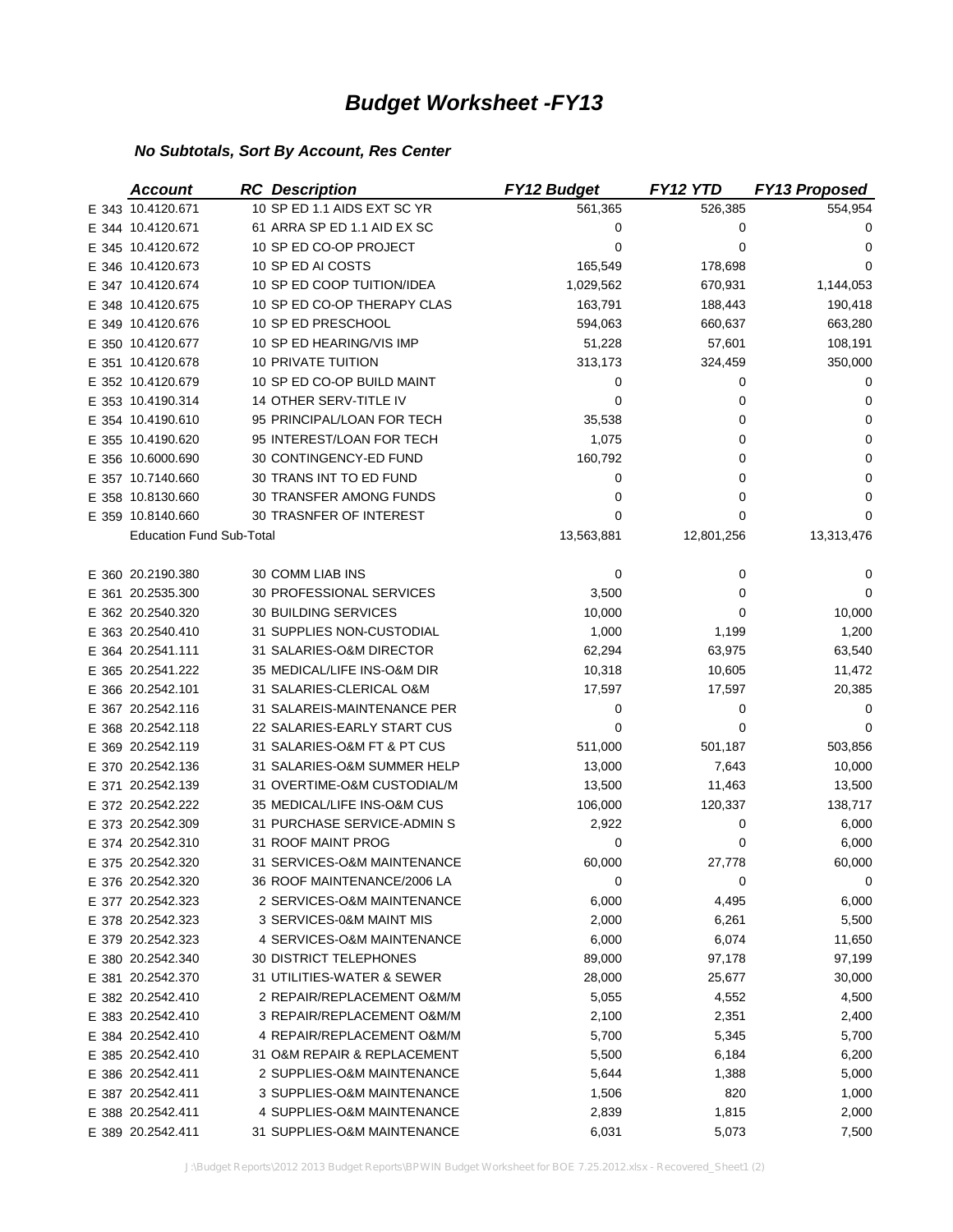| <b>Account</b>                  | <b>RC</b> Description         | <b>FY12 Budget</b> | FY12 YTD   | <b>FY13 Proposed</b> |
|---------------------------------|-------------------------------|--------------------|------------|----------------------|
| E 343 10.4120.671               | 10 SP ED 1.1 AIDS EXT SC YR   | 561,365            | 526,385    | 554,954              |
| E 344 10.4120.671               | 61 ARRA SP ED 1.1 AID EX SC   | 0                  | 0          | 0                    |
| E 345 10.4120.672               | 10 SP ED CO-OP PROJECT        | 0                  | 0          | 0                    |
| E 346 10.4120.673               | 10 SP ED AI COSTS             | 165,549            | 178,698    | 0                    |
| E 347 10.4120.674               | 10 SP ED COOP TUITION/IDEA    | 1,029,562          | 670,931    | 1,144,053            |
| E 348 10.4120.675               | 10 SP ED CO-OP THERAPY CLAS   | 163,791            | 188,443    | 190,418              |
| E 349 10.4120.676               | 10 SP ED PRESCHOOL            | 594,063            | 660,637    | 663,280              |
| E 350 10.4120.677               | 10 SP ED HEARING/VIS IMP      | 51,228             | 57,601     | 108,191              |
| E 351 10.4120.678               | <b>10 PRIVATE TUITION</b>     | 313,173            | 324,459    | 350,000              |
| E 352 10.4120.679               | 10 SP ED CO-OP BUILD MAINT    | 0                  | 0          | 0                    |
| E 353 10.4190.314               | 14 OTHER SERV-TITLE IV        | 0                  | 0          | 0                    |
| E 354 10.4190.610               | 95 PRINCIPAL/LOAN FOR TECH    | 35,538             | 0          | 0                    |
| E 355 10.4190.620               | 95 INTEREST/LOAN FOR TECH     | 1,075              | 0          | 0                    |
| E 356 10.6000.690               | 30 CONTINGENCY-ED FUND        | 160,792            | 0          | 0                    |
| E 357 10.7140.660               | 30 TRANS INT TO ED FUND       | 0                  | 0          | 0                    |
| E 358 10.8130.660               | 30 TRANSFER AMONG FUNDS       | 0                  | 0          | 0                    |
| E 359 10.8140.660               | 30 TRASNFER OF INTEREST       | 0                  | 0          | 0                    |
| <b>Education Fund Sub-Total</b> |                               | 13,563,881         | 12,801,256 | 13,313,476           |
|                                 |                               |                    |            |                      |
| E 360 20.2190.380               | 30 COMM LIAB INS              | 0                  | 0          | 0                    |
| E 361 20.2535.300               | 30 PROFESSIONAL SERVICES      | 3,500              | 0          | 0                    |
| E 362 20.2540.320               | 30 BUILDING SERVICES          | 10,000             | 0          | 10,000               |
| E 363 20.2540.410               | 31 SUPPLIES NON-CUSTODIAL     | 1,000              | 1,199      | 1,200                |
| E 364 20.2541.111               | 31 SALARIES-O&M DIRECTOR      | 62,294             | 63,975     | 63,540               |
| E 365 20.2541.222               | 35 MEDICAL/LIFE INS-O&M DIR   | 10,318             | 10,605     | 11,472               |
| E 366 20.2542.101               | 31 SALARIES-CLERICAL O&M      | 17,597             | 17,597     | 20,385               |
| E 367 20.2542.116               | 31 SALAREIS-MAINTENANCE PER   | 0                  | 0          | 0                    |
| E 368 20.2542.118               | 22 SALARIES-EARLY START CUS   | 0                  | 0          | 0                    |
| E 369 20.2542.119               | 31 SALARIES-O&M FT & PT CUS   | 511,000            | 501,187    | 503,856              |
| E 370 20.2542.136               | 31 SALARIES-O&M SUMMER HELP   | 13,000             | 7,643      | 10,000               |
| E 371 20.2542.139               | 31 OVERTIME-O&M CUSTODIAL/M   | 13,500             | 11,463     | 13,500               |
| E 372 20.2542.222               | 35 MEDICAL/LIFE INS-O&M CUS   | 106,000            | 120,337    | 138,717              |
| E 373 20.2542.309               | 31 PURCHASE SERVICE-ADMIN S   | 2,922              | 0          | 6,000                |
| E 374 20.2542.310               | 31 ROOF MAINT PROG            | 0                  | 0          | 6,000                |
| E 375 20.2542.320               | 31 SERVICES-O&M MAINTENANCE   | 60,000             | 27,778     | 60,000               |
| E 376 20.2542.320               | 36 ROOF MAINTENANCE/2006 LA   | 0                  | 0          | 0                    |
| E 377 20.2542.323               | 2 SERVICES-O&M MAINTENANCE    | 6,000              | 4,495      | 6,000                |
| E 378 20.2542.323               | 3 SERVICES-0&M MAINT MIS      | 2,000              | 6,261      | 5,500                |
| E 379 20.2542.323               | 4 SERVICES-O&M MAINTENANCE    | 6,000              | 6,074      | 11,650               |
| E 380 20.2542.340               | <b>30 DISTRICT TELEPHONES</b> | 89,000             | 97,178     | 97,199               |
| E 381 20.2542.370               | 31 UTILITIES-WATER & SEWER    | 28,000             | 25,677     | 30,000               |
| E 382 20.2542.410               | 2 REPAIR/REPLACEMENT O&M/M    | 5,055              | 4,552      | 4,500                |
| E 383 20.2542.410               | 3 REPAIR/REPLACEMENT O&M/M    | 2,100              | 2,351      | 2,400                |
| E 384 20.2542.410               | 4 REPAIR/REPLACEMENT O&M/M    | 5,700              | 5,345      | 5,700                |
| E 385 20.2542.410               | 31 O&M REPAIR & REPLACEMENT   | 5,500              | 6,184      | 6,200                |
| E 386 20.2542.411               | 2 SUPPLIES-O&M MAINTENANCE    | 5,644              | 1,388      | 5,000                |
| E 387 20.2542.411               | 3 SUPPLIES-O&M MAINTENANCE    | 1,506              | 820        | 1,000                |
| E 388 20.2542.411               | 4 SUPPLIES-O&M MAINTENANCE    | 2,839              | 1,815      | 2,000                |
| E 389 20.2542.411               | 31 SUPPLIES-O&M MAINTENANCE   | 6,031              | 5,073      | 7,500                |
|                                 |                               |                    |            |                      |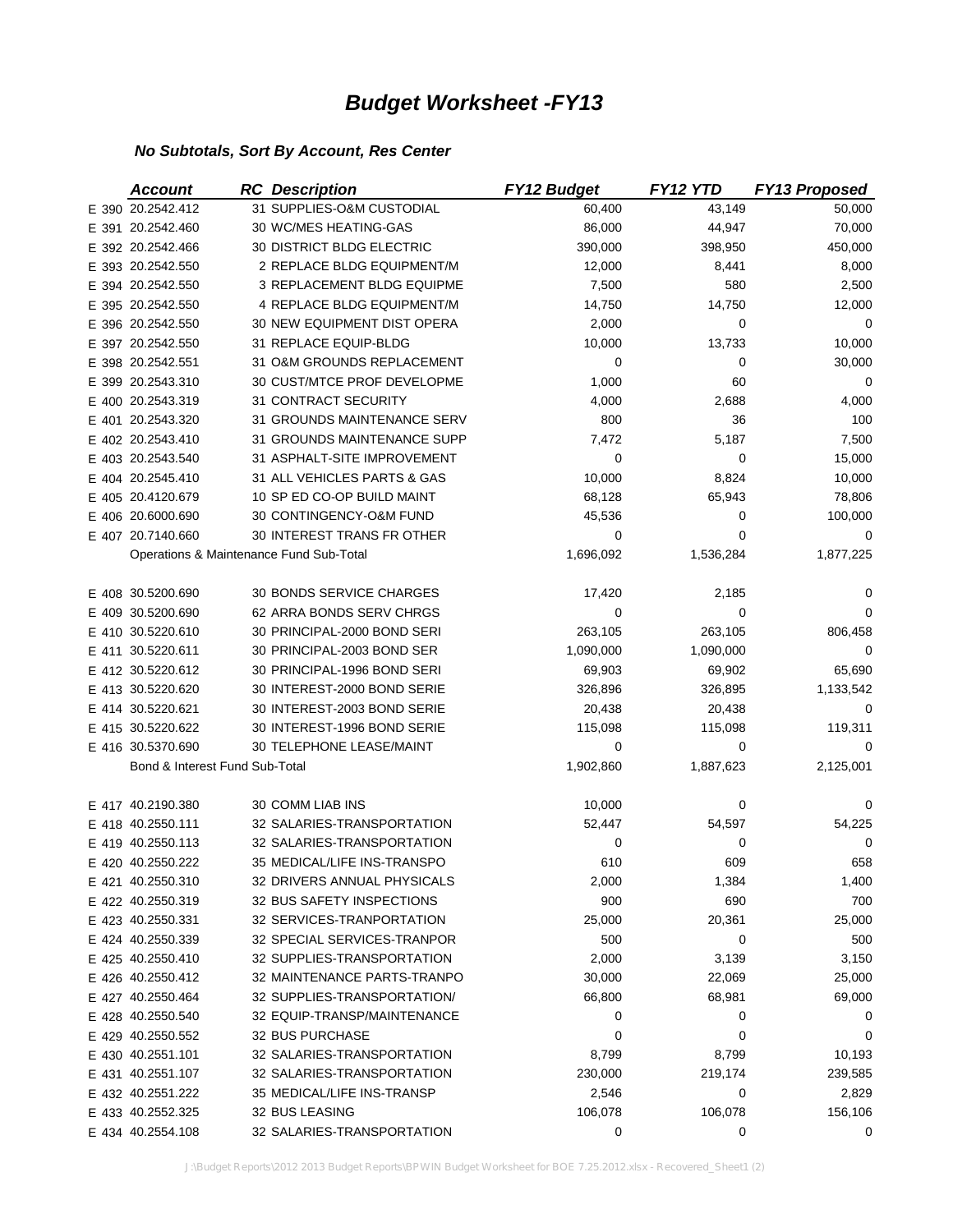| <b>Account</b>                          | <b>RC</b> Description              | <b>FY12 Budget</b> | FY12 YTD  | <b>FY13 Proposed</b> |
|-----------------------------------------|------------------------------------|--------------------|-----------|----------------------|
| E 390 20.2542.412                       | 31 SUPPLIES-O&M CUSTODIAL          | 60,400             | 43,149    | 50,000               |
| E 391 20.2542.460                       | 30 WC/MES HEATING-GAS              | 86,000             | 44,947    | 70,000               |
| E 392 20.2542.466                       | 30 DISTRICT BLDG ELECTRIC          | 390,000            | 398,950   | 450,000              |
| E 393 20.2542.550                       | 2 REPLACE BLDG EQUIPMENT/M         | 12,000             | 8,441     | 8,000                |
| E 394 20.2542.550                       | 3 REPLACEMENT BLDG EQUIPME         | 7,500              | 580       | 2,500                |
| E 395 20.2542.550                       | 4 REPLACE BLDG EQUIPMENT/M         | 14,750             | 14,750    | 12,000               |
| E 396 20.2542.550                       | <b>30 NEW EQUIPMENT DIST OPERA</b> | 2,000              | 0         | 0                    |
| E 397 20.2542.550                       | 31 REPLACE EQUIP-BLDG              | 10,000             | 13,733    | 10,000               |
| E 398 20.2542.551                       | 31 O&M GROUNDS REPLACEMENT         | 0                  | 0         | 30,000               |
| E 399 20.2543.310                       | 30 CUST/MTCE PROF DEVELOPME        | 1,000              | 60        | 0                    |
| E 400 20.2543.319                       | 31 CONTRACT SECURITY               | 4,000              | 2,688     | 4,000                |
| E 401 20.2543.320                       | <b>31 GROUNDS MAINTENANCE SERV</b> | 800                | 36        | 100                  |
| E 402 20.2543.410                       | 31 GROUNDS MAINTENANCE SUPP        | 7,472              | 5,187     | 7,500                |
| E 403 20.2543.540                       | 31 ASPHALT-SITE IMPROVEMENT        | 0                  | 0         | 15,000               |
| E 404 20.2545.410                       | 31 ALL VEHICLES PARTS & GAS        | 10,000             | 8,824     | 10,000               |
| E 405 20.4120.679                       | 10 SP ED CO-OP BUILD MAINT         | 68,128             | 65,943    | 78,806               |
| E 406 20.6000.690                       | 30 CONTINGENCY-O&M FUND            | 45,536             | 0         | 100,000              |
| E 407 20.7140.660                       | 30 INTEREST TRANS FR OTHER         | 0                  | 0         | 0                    |
| Operations & Maintenance Fund Sub-Total |                                    | 1,696,092          | 1,536,284 | 1,877,225            |
| E 408 30.5200.690                       | <b>30 BONDS SERVICE CHARGES</b>    | 17,420             | 2,185     | 0                    |
| E 409 30.5200.690                       | 62 ARRA BONDS SERV CHRGS           | 0                  | 0         | $\Omega$             |
| E 410 30.5220.610                       | 30 PRINCIPAL-2000 BOND SERI        | 263,105            | 263,105   | 806,458              |
| E 411 30.5220.611                       | 30 PRINCIPAL-2003 BOND SER         | 1,090,000          | 1,090,000 | 0                    |
| E 412 30.5220.612                       | 30 PRINCIPAL-1996 BOND SERI        | 69,903             | 69,902    | 65,690               |
| E 413 30.5220.620                       | 30 INTEREST-2000 BOND SERIE        | 326,896            | 326,895   | 1,133,542            |
| E 414 30.5220.621                       | 30 INTEREST-2003 BOND SERIE        | 20,438             | 20,438    | 0                    |
| E 415 30.5220.622                       | 30 INTEREST-1996 BOND SERIE        | 115,098            | 115,098   | 119,311              |
| E 416 30.5370.690                       | 30 TELEPHONE LEASE/MAINT           | 0                  | 0         | 0                    |
| Bond & Interest Fund Sub-Total          |                                    | 1,902,860          | 1,887,623 | 2,125,001            |
| E 417 40.2190.380                       | 30 COMM LIAB INS                   | 10,000             | 0         | 0                    |
| E 418 40.2550.111                       | <b>32 SALARIES-TRANSPORTATION</b>  | 52,447             | 54,597    | 54,225               |
| E 419 40.2550.113                       | <b>32 SALARIES-TRANSPORTATION</b>  | 0                  | 0         | 0                    |
| E 420 40.2550.222                       | 35 MEDICAL/LIFE INS-TRANSPO        | 610                | 609       | 658                  |
| E 421 40.2550.310                       | 32 DRIVERS ANNUAL PHYSICALS        | 2,000              | 1,384     | 1,400                |
| E 422 40.2550.319                       | 32 BUS SAFETY INSPECTIONS          | 900                | 690       | 700                  |
| E 423 40.2550.331                       | 32 SERVICES-TRANPORTATION          | 25,000             | 20,361    | 25,000               |
| E 424 40.2550.339                       | 32 SPECIAL SERVICES-TRANPOR        | 500                | 0         | 500                  |
| E 425 40.2550.410                       | 32 SUPPLIES-TRANSPORTATION         | 2,000              | 3,139     | 3,150                |
| E 426 40.2550.412                       | 32 MAINTENANCE PARTS-TRANPO        | 30,000             | 22,069    | 25,000               |
| E 427 40.2550.464                       | 32 SUPPLIES-TRANSPORTATION/        | 66,800             | 68,981    | 69,000               |
| E 428 40.2550.540                       | 32 EQUIP-TRANSP/MAINTENANCE        | 0                  | 0         | 0                    |
| E 429 40.2550.552                       | 32 BUS PURCHASE                    | 0                  | 0         | 0                    |
| E 430 40.2551.101                       | <b>32 SALARIES-TRANSPORTATION</b>  | 8,799              | 8,799     | 10,193               |
| E 431 40.2551.107                       | 32 SALARIES-TRANSPORTATION         | 230,000            | 219,174   | 239,585              |
| E 432 40.2551.222                       | 35 MEDICAL/LIFE INS-TRANSP         | 2,546              | 0         | 2,829                |
| E 433 40.2552.325                       | 32 BUS LEASING                     | 106,078            | 106,078   | 156,106              |
| E 434 40.2554.108                       | 32 SALARIES-TRANSPORTATION         | 0                  | 0         | 0                    |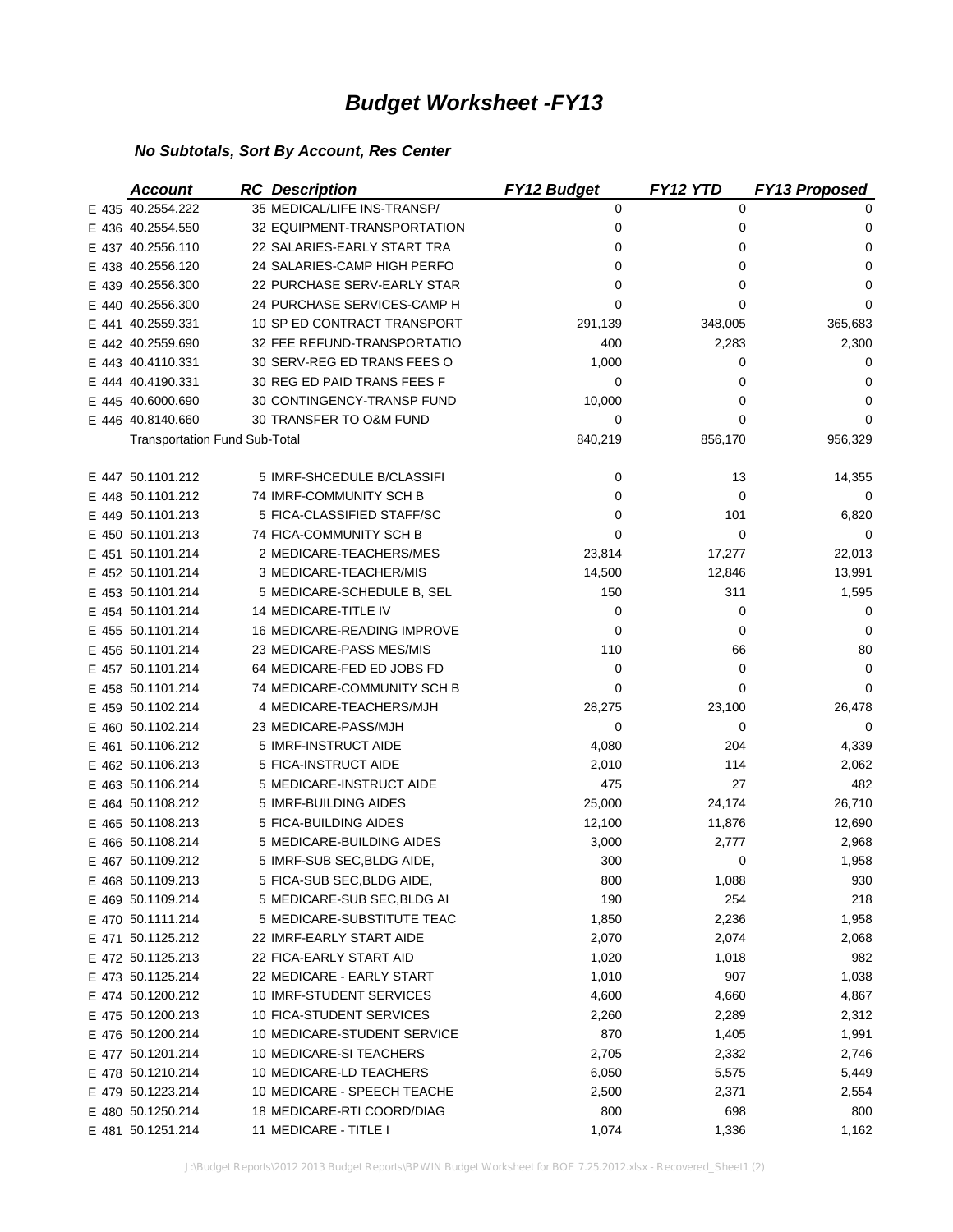| <b>Account</b>                       | <b>RC</b> Description       | <b>FY12 Budget</b> | FY12 YTD | <b>FY13 Proposed</b> |
|--------------------------------------|-----------------------------|--------------------|----------|----------------------|
| E 435 40.2554.222                    | 35 MEDICAL/LIFE INS-TRANSP/ | 0                  | 0        |                      |
| E 436 40.2554.550                    | 32 EQUIPMENT-TRANSPORTATION | 0                  | 0        | 0                    |
| E 437 40.2556.110                    | 22 SALARIES-EARLY START TRA | 0                  | 0        | 0                    |
| E 438 40.2556.120                    | 24 SALARIES-CAMP HIGH PERFO | 0                  | 0        | 0                    |
| E 439 40.2556.300                    | 22 PURCHASE SERV-EARLY STAR | 0                  | 0        | 0                    |
| E 440 40.2556.300                    | 24 PURCHASE SERVICES-CAMP H | 0                  | 0        | 0                    |
| E 441 40.2559.331                    | 10 SP ED CONTRACT TRANSPORT | 291,139            | 348,005  | 365,683              |
| E 442 40.2559.690                    | 32 FEE REFUND-TRANSPORTATIO | 400                | 2,283    | 2,300                |
| E 443 40.4110.331                    | 30 SERV-REG ED TRANS FEES O | 1,000              | 0        | 0                    |
| E 444 40.4190.331                    | 30 REG ED PAID TRANS FEES F | 0                  | 0        | 0                    |
| E 445 40.6000.690                    | 30 CONTINGENCY-TRANSP FUND  | 10,000             | 0        | 0                    |
| E 446 40.8140.660                    | 30 TRANSFER TO O&M FUND     | 0                  | 0        | 0                    |
| <b>Transportation Fund Sub-Total</b> |                             | 840,219            | 856,170  | 956,329              |
| E 447 50.1101.212                    | 5 IMRF-SHCEDULE B/CLASSIFI  | 0                  | 13       | 14,355               |
| E 448 50.1101.212                    | 74 IMRF-COMMUNITY SCH B     | 0                  | 0        | 0                    |
| E 449 50.1101.213                    | 5 FICA-CLASSIFIED STAFF/SC  | 0                  | 101      | 6,820                |
| E 450 50.1101.213                    | 74 FICA-COMMUNITY SCH B     | 0                  | 0        | $\Omega$             |
| E 451 50.1101.214                    | 2 MEDICARE-TEACHERS/MES     | 23,814             | 17,277   | 22,013               |
| E 452 50.1101.214                    | 3 MEDICARE-TEACHER/MIS      | 14,500             | 12,846   | 13,991               |
| E 453 50.1101.214                    | 5 MEDICARE-SCHEDULE B, SEL  | 150                | 311      | 1,595                |
| E 454 50.1101.214                    | <b>14 MEDICARE-TITLE IV</b> | 0                  | 0        | 0                    |
| E 455 50.1101.214                    | 16 MEDICARE-READING IMPROVE | 0                  | 0        | 0                    |
| E 456 50.1101.214                    | 23 MEDICARE-PASS MES/MIS    | 110                | 66       | 80                   |
| E 457 50.1101.214                    | 64 MEDICARE-FED ED JOBS FD  | 0                  | 0        | 0                    |
| E 458 50.1101.214                    | 74 MEDICARE-COMMUNITY SCH B | 0                  | 0        | 0                    |
| E 459 50.1102.214                    | 4 MEDICARE-TEACHERS/MJH     | 28,275             | 23,100   | 26,478               |
| E 460 50.1102.214                    | 23 MEDICARE-PASS/MJH        | 0                  | 0        | 0                    |
| E 461 50.1106.212                    | 5 IMRF-INSTRUCT AIDE        | 4,080              | 204      | 4,339                |
| E 462 50.1106.213                    | 5 FICA-INSTRUCT AIDE        | 2,010              | 114      | 2,062                |
| E 463 50.1106.214                    | 5 MEDICARE-INSTRUCT AIDE    | 475                | 27       | 482                  |
| E 464 50.1108.212                    | 5 IMRF-BUILDING AIDES       | 25,000             | 24,174   | 26,710               |
| E 465 50.1108.213                    | 5 FICA-BUILDING AIDES       | 12,100             | 11,876   | 12,690               |
| E 466 50.1108.214                    | 5 MEDICARE-BUILDING AIDES   | 3,000              | 2,777    | 2,968                |
| E 467 50.1109.212                    | 5 IMRF-SUB SEC, BLDG AIDE,  | 300                | 0        | 1,958                |
| E 468 50.1109.213                    | 5 FICA-SUB SEC, BLDG AIDE,  | 800                | 1,088    | 930                  |
| E 469 50.1109.214                    | 5 MEDICARE-SUB SEC, BLDG AI | 190                | 254      | 218                  |
| E 470 50.1111.214                    | 5 MEDICARE-SUBSTITUTE TEAC  | 1,850              | 2,236    | 1,958                |
| E 471 50.1125.212                    | 22 IMRF-EARLY START AIDE    | 2,070              | 2,074    | 2,068                |
| E 472 50.1125.213                    | 22 FICA-EARLY START AID     | 1,020              | 1,018    | 982                  |
| E 473 50.1125.214                    | 22 MEDICARE - EARLY START   | 1,010              | 907      | 1,038                |
| E 474 50.1200.212                    | 10 IMRF-STUDENT SERVICES    | 4,600              | 4,660    | 4,867                |
| E 475 50.1200.213                    | 10 FICA-STUDENT SERVICES    | 2,260              | 2,289    | 2,312                |
| E 476 50.1200.214                    | 10 MEDICARE-STUDENT SERVICE | 870                | 1,405    | 1,991                |
| E 477 50.1201.214                    | 10 MEDICARE-SI TEACHERS     | 2,705              | 2,332    | 2,746                |
| E 478 50.1210.214                    | 10 MEDICARE-LD TEACHERS     | 6,050              | 5,575    | 5,449                |
| E 479 50.1223.214                    | 10 MEDICARE - SPEECH TEACHE | 2,500              | 2,371    | 2,554                |
| E 480 50.1250.214                    | 18 MEDICARE-RTI COORD/DIAG  | 800                | 698      | 800                  |
| E 481 50.1251.214                    | 11 MEDICARE - TITLE I       | 1,074              | 1,336    | 1,162                |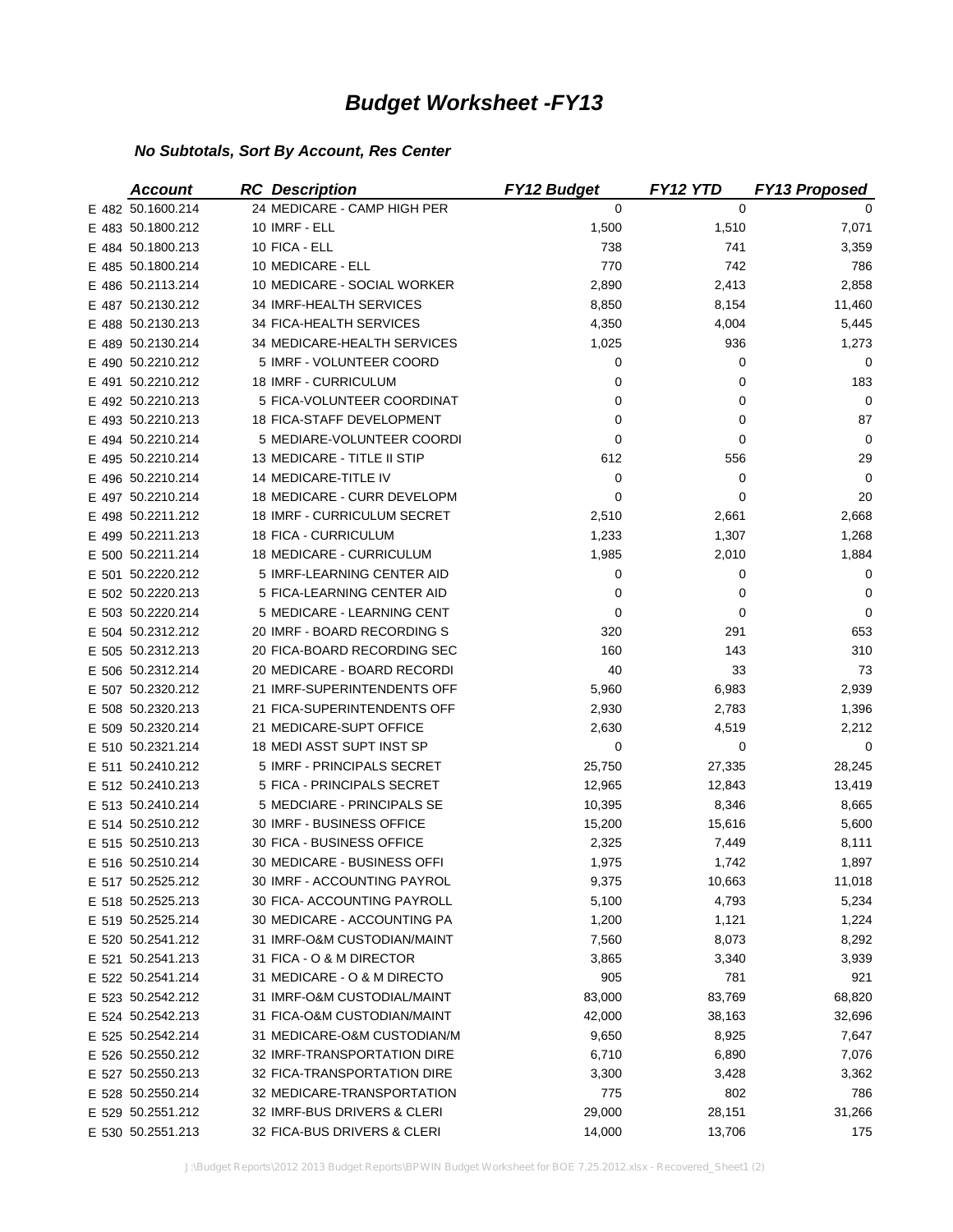| 24 MEDICARE - CAMP HIGH PER<br>E 482 50.1600.214<br>0<br>0<br>0<br>E 483 50.1800.212<br>10 IMRF - ELL<br>1,500<br>1,510<br>7,071<br>10 FICA - ELL<br>E 484 50.1800.213<br>738<br>741<br>3,359<br>E 485 50.1800.214<br>10 MEDICARE - ELL<br>770<br>742<br>786<br>E 486 50.2113.214<br>10 MEDICARE - SOCIAL WORKER<br>2,890<br>2,858<br>2,413<br>E 487 50.2130.212<br>34 IMRF-HEALTH SERVICES<br>8,850<br>8,154<br>11,460<br>E 488 50.2130.213<br>34 FICA-HEALTH SERVICES<br>4,350<br>4,004<br>5,445<br>E 489 50.2130.214<br>34 MEDICARE-HEALTH SERVICES<br>1,025<br>936<br>1,273<br>E 490 50.2210.212<br>5 IMRF - VOLUNTEER COORD<br>0<br>0<br>0<br>E 491 50.2210.212<br><b>18 IMRF - CURRICULUM</b><br>183<br>0<br>0<br>E 492 50.2210.213<br>5 FICA-VOLUNTEER COORDINAT<br>0<br>0<br>0<br>E 493 50.2210.213<br><b>18 FICA-STAFF DEVELOPMENT</b><br>0<br>87<br>0<br>E 494 50.2210.214<br>5 MEDIARE-VOLUNTEER COORDI<br>0<br>0<br>0<br>E 495 50.2210.214<br>13 MEDICARE - TITLE II STIP<br>612<br>556<br>29<br>E 496 50.2210.214<br><b>14 MEDICARE-TITLE IV</b><br>0<br>0<br>0<br>E 497 50.2210.214<br>18 MEDICARE - CURR DEVELOPM<br>0<br>20<br>0<br>E 498 50.2211.212<br><b>18 IMRF - CURRICULUM SECRET</b><br>2,510<br>2,661<br>2,668<br>E 499 50.2211.213<br><b>18 FICA - CURRICULUM</b><br>1,307<br>1,268<br>1,233<br>E 500 50.2211.214<br><b>18 MEDICARE - CURRICULUM</b><br>1,985<br>1,884<br>2,010<br>E 501 50.2220.212<br>5 IMRF-LEARNING CENTER AID<br>0<br>0<br>0<br>5 FICA-LEARNING CENTER AID<br>E 502 50.2220.213<br>0<br>0<br>0<br>5 MEDICARE - LEARNING CENT<br>0<br>E 503 50.2220.214<br>0<br>0<br>20 IMRF - BOARD RECORDING S<br>E 504 50.2312.212<br>320<br>291<br>653<br>20 FICA-BOARD RECORDING SEC<br>E 505 50.2312.213<br>160<br>310<br>143<br>E 506 50.2312.214<br>20 MEDICARE - BOARD RECORDI<br>40<br>33<br>73<br>E 507 50.2320.212<br>21 IMRF-SUPERINTENDENTS OFF<br>5,960<br>6,983<br>2,939<br>E 508 50.2320.213<br>21 FICA-SUPERINTENDENTS OFF<br>1,396<br>2,930<br>2,783<br>E 509 50.2320.214<br>21 MEDICARE-SUPT OFFICE<br>2,212<br>2,630<br>4,519<br>E 510 50.2321.214<br>18 MEDI ASST SUPT INST SP<br>0<br>0<br>0<br>E 511 50.2410.212<br>5 IMRF - PRINCIPALS SECRET<br>25,750<br>27,335<br>28,245<br>E 512 50.2410.213<br>5 FICA - PRINCIPALS SECRET<br>13,419<br>12,965<br>12,843<br>E 513 50.2410.214<br>5 MEDCIARE - PRINCIPALS SE<br>10,395<br>8,346<br>8,665<br>E 514 50.2510.212<br>30 IMRF - BUSINESS OFFICE<br>15,200<br>15,616<br>5,600<br>E 515 50.2510.213<br>30 FICA - BUSINESS OFFICE<br>2,325<br>7,449<br>8,111<br>E 516 50.2510.214<br>30 MEDICARE - BUSINESS OFFI<br>1,975<br>1,897<br>1,742<br>E 517 50.2525.212<br>30 IMRF - ACCOUNTING PAYROL<br>9,375<br>10,663<br>11,018<br>E 518 50.2525.213<br>30 FICA- ACCOUNTING PAYROLL<br>5,234<br>5,100<br>4,793<br>E 519 50.2525.214<br>30 MEDICARE - ACCOUNTING PA<br>1,200<br>1,121<br>1,224<br>E 520 50.2541.212<br>31 IMRF-O&M CUSTODIAN/MAINT<br>7,560<br>8,073<br>8,292<br>E 521 50.2541.213<br>31 FICA - O & M DIRECTOR<br>3,865<br>3,939<br>3,340<br>E 522 50.2541.214<br>31 MEDICARE - O & M DIRECTO<br>905<br>921<br>781<br>31 IMRF-O&M CUSTODIAL/MAINT<br>E 523 50.2542.212<br>83,000<br>83,769<br>68,820<br>E 524 50.2542.213<br>31 FICA-O&M CUSTODIAN/MAINT<br>42,000<br>38,163<br>32,696<br>E 525 50.2542.214<br>31 MEDICARE-O&M CUSTODIAN/M<br>9,650<br>8,925<br>7,647<br>E 526 50.2550.212<br>32 IMRF-TRANSPORTATION DIRE<br>6,710<br>6,890<br>7,076<br>E 527 50.2550.213<br>32 FICA-TRANSPORTATION DIRE<br>3,300<br>3,428<br>3,362<br>E 528 50.2550.214<br>32 MEDICARE-TRANSPORTATION<br>775<br>802<br>786<br>E 529 50.2551.212<br>32 IMRF-BUS DRIVERS & CLERI<br>29,000<br>28,151<br>31,266<br>E 530 50.2551.213<br>32 FICA-BUS DRIVERS & CLERI<br>14,000<br>13,706<br>175 | <b>Account</b> | <b>RC</b> Description | <b>FY12 Budget</b> | FY12 YTD | <b>FY13 Proposed</b> |
|-------------------------------------------------------------------------------------------------------------------------------------------------------------------------------------------------------------------------------------------------------------------------------------------------------------------------------------------------------------------------------------------------------------------------------------------------------------------------------------------------------------------------------------------------------------------------------------------------------------------------------------------------------------------------------------------------------------------------------------------------------------------------------------------------------------------------------------------------------------------------------------------------------------------------------------------------------------------------------------------------------------------------------------------------------------------------------------------------------------------------------------------------------------------------------------------------------------------------------------------------------------------------------------------------------------------------------------------------------------------------------------------------------------------------------------------------------------------------------------------------------------------------------------------------------------------------------------------------------------------------------------------------------------------------------------------------------------------------------------------------------------------------------------------------------------------------------------------------------------------------------------------------------------------------------------------------------------------------------------------------------------------------------------------------------------------------------------------------------------------------------------------------------------------------------------------------------------------------------------------------------------------------------------------------------------------------------------------------------------------------------------------------------------------------------------------------------------------------------------------------------------------------------------------------------------------------------------------------------------------------------------------------------------------------------------------------------------------------------------------------------------------------------------------------------------------------------------------------------------------------------------------------------------------------------------------------------------------------------------------------------------------------------------------------------------------------------------------------------------------------------------------------------------------------------------------------------------------------------------------------------------------------------------------------------------------------------------------------------------------------------------------------------------------------------------------------------------------------------------------------------------------------------------------------------------------------------------------------------------------------------------------------------------------------------------------------------------------------------------------------------------------------------------------|----------------|-----------------------|--------------------|----------|----------------------|
|                                                                                                                                                                                                                                                                                                                                                                                                                                                                                                                                                                                                                                                                                                                                                                                                                                                                                                                                                                                                                                                                                                                                                                                                                                                                                                                                                                                                                                                                                                                                                                                                                                                                                                                                                                                                                                                                                                                                                                                                                                                                                                                                                                                                                                                                                                                                                                                                                                                                                                                                                                                                                                                                                                                                                                                                                                                                                                                                                                                                                                                                                                                                                                                                                                                                                                                                                                                                                                                                                                                                                                                                                                                                                                                                                                                           |                |                       |                    |          |                      |
|                                                                                                                                                                                                                                                                                                                                                                                                                                                                                                                                                                                                                                                                                                                                                                                                                                                                                                                                                                                                                                                                                                                                                                                                                                                                                                                                                                                                                                                                                                                                                                                                                                                                                                                                                                                                                                                                                                                                                                                                                                                                                                                                                                                                                                                                                                                                                                                                                                                                                                                                                                                                                                                                                                                                                                                                                                                                                                                                                                                                                                                                                                                                                                                                                                                                                                                                                                                                                                                                                                                                                                                                                                                                                                                                                                                           |                |                       |                    |          |                      |
|                                                                                                                                                                                                                                                                                                                                                                                                                                                                                                                                                                                                                                                                                                                                                                                                                                                                                                                                                                                                                                                                                                                                                                                                                                                                                                                                                                                                                                                                                                                                                                                                                                                                                                                                                                                                                                                                                                                                                                                                                                                                                                                                                                                                                                                                                                                                                                                                                                                                                                                                                                                                                                                                                                                                                                                                                                                                                                                                                                                                                                                                                                                                                                                                                                                                                                                                                                                                                                                                                                                                                                                                                                                                                                                                                                                           |                |                       |                    |          |                      |
|                                                                                                                                                                                                                                                                                                                                                                                                                                                                                                                                                                                                                                                                                                                                                                                                                                                                                                                                                                                                                                                                                                                                                                                                                                                                                                                                                                                                                                                                                                                                                                                                                                                                                                                                                                                                                                                                                                                                                                                                                                                                                                                                                                                                                                                                                                                                                                                                                                                                                                                                                                                                                                                                                                                                                                                                                                                                                                                                                                                                                                                                                                                                                                                                                                                                                                                                                                                                                                                                                                                                                                                                                                                                                                                                                                                           |                |                       |                    |          |                      |
|                                                                                                                                                                                                                                                                                                                                                                                                                                                                                                                                                                                                                                                                                                                                                                                                                                                                                                                                                                                                                                                                                                                                                                                                                                                                                                                                                                                                                                                                                                                                                                                                                                                                                                                                                                                                                                                                                                                                                                                                                                                                                                                                                                                                                                                                                                                                                                                                                                                                                                                                                                                                                                                                                                                                                                                                                                                                                                                                                                                                                                                                                                                                                                                                                                                                                                                                                                                                                                                                                                                                                                                                                                                                                                                                                                                           |                |                       |                    |          |                      |
|                                                                                                                                                                                                                                                                                                                                                                                                                                                                                                                                                                                                                                                                                                                                                                                                                                                                                                                                                                                                                                                                                                                                                                                                                                                                                                                                                                                                                                                                                                                                                                                                                                                                                                                                                                                                                                                                                                                                                                                                                                                                                                                                                                                                                                                                                                                                                                                                                                                                                                                                                                                                                                                                                                                                                                                                                                                                                                                                                                                                                                                                                                                                                                                                                                                                                                                                                                                                                                                                                                                                                                                                                                                                                                                                                                                           |                |                       |                    |          |                      |
|                                                                                                                                                                                                                                                                                                                                                                                                                                                                                                                                                                                                                                                                                                                                                                                                                                                                                                                                                                                                                                                                                                                                                                                                                                                                                                                                                                                                                                                                                                                                                                                                                                                                                                                                                                                                                                                                                                                                                                                                                                                                                                                                                                                                                                                                                                                                                                                                                                                                                                                                                                                                                                                                                                                                                                                                                                                                                                                                                                                                                                                                                                                                                                                                                                                                                                                                                                                                                                                                                                                                                                                                                                                                                                                                                                                           |                |                       |                    |          |                      |
|                                                                                                                                                                                                                                                                                                                                                                                                                                                                                                                                                                                                                                                                                                                                                                                                                                                                                                                                                                                                                                                                                                                                                                                                                                                                                                                                                                                                                                                                                                                                                                                                                                                                                                                                                                                                                                                                                                                                                                                                                                                                                                                                                                                                                                                                                                                                                                                                                                                                                                                                                                                                                                                                                                                                                                                                                                                                                                                                                                                                                                                                                                                                                                                                                                                                                                                                                                                                                                                                                                                                                                                                                                                                                                                                                                                           |                |                       |                    |          |                      |
|                                                                                                                                                                                                                                                                                                                                                                                                                                                                                                                                                                                                                                                                                                                                                                                                                                                                                                                                                                                                                                                                                                                                                                                                                                                                                                                                                                                                                                                                                                                                                                                                                                                                                                                                                                                                                                                                                                                                                                                                                                                                                                                                                                                                                                                                                                                                                                                                                                                                                                                                                                                                                                                                                                                                                                                                                                                                                                                                                                                                                                                                                                                                                                                                                                                                                                                                                                                                                                                                                                                                                                                                                                                                                                                                                                                           |                |                       |                    |          |                      |
|                                                                                                                                                                                                                                                                                                                                                                                                                                                                                                                                                                                                                                                                                                                                                                                                                                                                                                                                                                                                                                                                                                                                                                                                                                                                                                                                                                                                                                                                                                                                                                                                                                                                                                                                                                                                                                                                                                                                                                                                                                                                                                                                                                                                                                                                                                                                                                                                                                                                                                                                                                                                                                                                                                                                                                                                                                                                                                                                                                                                                                                                                                                                                                                                                                                                                                                                                                                                                                                                                                                                                                                                                                                                                                                                                                                           |                |                       |                    |          |                      |
|                                                                                                                                                                                                                                                                                                                                                                                                                                                                                                                                                                                                                                                                                                                                                                                                                                                                                                                                                                                                                                                                                                                                                                                                                                                                                                                                                                                                                                                                                                                                                                                                                                                                                                                                                                                                                                                                                                                                                                                                                                                                                                                                                                                                                                                                                                                                                                                                                                                                                                                                                                                                                                                                                                                                                                                                                                                                                                                                                                                                                                                                                                                                                                                                                                                                                                                                                                                                                                                                                                                                                                                                                                                                                                                                                                                           |                |                       |                    |          |                      |
|                                                                                                                                                                                                                                                                                                                                                                                                                                                                                                                                                                                                                                                                                                                                                                                                                                                                                                                                                                                                                                                                                                                                                                                                                                                                                                                                                                                                                                                                                                                                                                                                                                                                                                                                                                                                                                                                                                                                                                                                                                                                                                                                                                                                                                                                                                                                                                                                                                                                                                                                                                                                                                                                                                                                                                                                                                                                                                                                                                                                                                                                                                                                                                                                                                                                                                                                                                                                                                                                                                                                                                                                                                                                                                                                                                                           |                |                       |                    |          |                      |
|                                                                                                                                                                                                                                                                                                                                                                                                                                                                                                                                                                                                                                                                                                                                                                                                                                                                                                                                                                                                                                                                                                                                                                                                                                                                                                                                                                                                                                                                                                                                                                                                                                                                                                                                                                                                                                                                                                                                                                                                                                                                                                                                                                                                                                                                                                                                                                                                                                                                                                                                                                                                                                                                                                                                                                                                                                                                                                                                                                                                                                                                                                                                                                                                                                                                                                                                                                                                                                                                                                                                                                                                                                                                                                                                                                                           |                |                       |                    |          |                      |
|                                                                                                                                                                                                                                                                                                                                                                                                                                                                                                                                                                                                                                                                                                                                                                                                                                                                                                                                                                                                                                                                                                                                                                                                                                                                                                                                                                                                                                                                                                                                                                                                                                                                                                                                                                                                                                                                                                                                                                                                                                                                                                                                                                                                                                                                                                                                                                                                                                                                                                                                                                                                                                                                                                                                                                                                                                                                                                                                                                                                                                                                                                                                                                                                                                                                                                                                                                                                                                                                                                                                                                                                                                                                                                                                                                                           |                |                       |                    |          |                      |
|                                                                                                                                                                                                                                                                                                                                                                                                                                                                                                                                                                                                                                                                                                                                                                                                                                                                                                                                                                                                                                                                                                                                                                                                                                                                                                                                                                                                                                                                                                                                                                                                                                                                                                                                                                                                                                                                                                                                                                                                                                                                                                                                                                                                                                                                                                                                                                                                                                                                                                                                                                                                                                                                                                                                                                                                                                                                                                                                                                                                                                                                                                                                                                                                                                                                                                                                                                                                                                                                                                                                                                                                                                                                                                                                                                                           |                |                       |                    |          |                      |
|                                                                                                                                                                                                                                                                                                                                                                                                                                                                                                                                                                                                                                                                                                                                                                                                                                                                                                                                                                                                                                                                                                                                                                                                                                                                                                                                                                                                                                                                                                                                                                                                                                                                                                                                                                                                                                                                                                                                                                                                                                                                                                                                                                                                                                                                                                                                                                                                                                                                                                                                                                                                                                                                                                                                                                                                                                                                                                                                                                                                                                                                                                                                                                                                                                                                                                                                                                                                                                                                                                                                                                                                                                                                                                                                                                                           |                |                       |                    |          |                      |
|                                                                                                                                                                                                                                                                                                                                                                                                                                                                                                                                                                                                                                                                                                                                                                                                                                                                                                                                                                                                                                                                                                                                                                                                                                                                                                                                                                                                                                                                                                                                                                                                                                                                                                                                                                                                                                                                                                                                                                                                                                                                                                                                                                                                                                                                                                                                                                                                                                                                                                                                                                                                                                                                                                                                                                                                                                                                                                                                                                                                                                                                                                                                                                                                                                                                                                                                                                                                                                                                                                                                                                                                                                                                                                                                                                                           |                |                       |                    |          |                      |
|                                                                                                                                                                                                                                                                                                                                                                                                                                                                                                                                                                                                                                                                                                                                                                                                                                                                                                                                                                                                                                                                                                                                                                                                                                                                                                                                                                                                                                                                                                                                                                                                                                                                                                                                                                                                                                                                                                                                                                                                                                                                                                                                                                                                                                                                                                                                                                                                                                                                                                                                                                                                                                                                                                                                                                                                                                                                                                                                                                                                                                                                                                                                                                                                                                                                                                                                                                                                                                                                                                                                                                                                                                                                                                                                                                                           |                |                       |                    |          |                      |
|                                                                                                                                                                                                                                                                                                                                                                                                                                                                                                                                                                                                                                                                                                                                                                                                                                                                                                                                                                                                                                                                                                                                                                                                                                                                                                                                                                                                                                                                                                                                                                                                                                                                                                                                                                                                                                                                                                                                                                                                                                                                                                                                                                                                                                                                                                                                                                                                                                                                                                                                                                                                                                                                                                                                                                                                                                                                                                                                                                                                                                                                                                                                                                                                                                                                                                                                                                                                                                                                                                                                                                                                                                                                                                                                                                                           |                |                       |                    |          |                      |
|                                                                                                                                                                                                                                                                                                                                                                                                                                                                                                                                                                                                                                                                                                                                                                                                                                                                                                                                                                                                                                                                                                                                                                                                                                                                                                                                                                                                                                                                                                                                                                                                                                                                                                                                                                                                                                                                                                                                                                                                                                                                                                                                                                                                                                                                                                                                                                                                                                                                                                                                                                                                                                                                                                                                                                                                                                                                                                                                                                                                                                                                                                                                                                                                                                                                                                                                                                                                                                                                                                                                                                                                                                                                                                                                                                                           |                |                       |                    |          |                      |
|                                                                                                                                                                                                                                                                                                                                                                                                                                                                                                                                                                                                                                                                                                                                                                                                                                                                                                                                                                                                                                                                                                                                                                                                                                                                                                                                                                                                                                                                                                                                                                                                                                                                                                                                                                                                                                                                                                                                                                                                                                                                                                                                                                                                                                                                                                                                                                                                                                                                                                                                                                                                                                                                                                                                                                                                                                                                                                                                                                                                                                                                                                                                                                                                                                                                                                                                                                                                                                                                                                                                                                                                                                                                                                                                                                                           |                |                       |                    |          |                      |
|                                                                                                                                                                                                                                                                                                                                                                                                                                                                                                                                                                                                                                                                                                                                                                                                                                                                                                                                                                                                                                                                                                                                                                                                                                                                                                                                                                                                                                                                                                                                                                                                                                                                                                                                                                                                                                                                                                                                                                                                                                                                                                                                                                                                                                                                                                                                                                                                                                                                                                                                                                                                                                                                                                                                                                                                                                                                                                                                                                                                                                                                                                                                                                                                                                                                                                                                                                                                                                                                                                                                                                                                                                                                                                                                                                                           |                |                       |                    |          |                      |
|                                                                                                                                                                                                                                                                                                                                                                                                                                                                                                                                                                                                                                                                                                                                                                                                                                                                                                                                                                                                                                                                                                                                                                                                                                                                                                                                                                                                                                                                                                                                                                                                                                                                                                                                                                                                                                                                                                                                                                                                                                                                                                                                                                                                                                                                                                                                                                                                                                                                                                                                                                                                                                                                                                                                                                                                                                                                                                                                                                                                                                                                                                                                                                                                                                                                                                                                                                                                                                                                                                                                                                                                                                                                                                                                                                                           |                |                       |                    |          |                      |
|                                                                                                                                                                                                                                                                                                                                                                                                                                                                                                                                                                                                                                                                                                                                                                                                                                                                                                                                                                                                                                                                                                                                                                                                                                                                                                                                                                                                                                                                                                                                                                                                                                                                                                                                                                                                                                                                                                                                                                                                                                                                                                                                                                                                                                                                                                                                                                                                                                                                                                                                                                                                                                                                                                                                                                                                                                                                                                                                                                                                                                                                                                                                                                                                                                                                                                                                                                                                                                                                                                                                                                                                                                                                                                                                                                                           |                |                       |                    |          |                      |
|                                                                                                                                                                                                                                                                                                                                                                                                                                                                                                                                                                                                                                                                                                                                                                                                                                                                                                                                                                                                                                                                                                                                                                                                                                                                                                                                                                                                                                                                                                                                                                                                                                                                                                                                                                                                                                                                                                                                                                                                                                                                                                                                                                                                                                                                                                                                                                                                                                                                                                                                                                                                                                                                                                                                                                                                                                                                                                                                                                                                                                                                                                                                                                                                                                                                                                                                                                                                                                                                                                                                                                                                                                                                                                                                                                                           |                |                       |                    |          |                      |
|                                                                                                                                                                                                                                                                                                                                                                                                                                                                                                                                                                                                                                                                                                                                                                                                                                                                                                                                                                                                                                                                                                                                                                                                                                                                                                                                                                                                                                                                                                                                                                                                                                                                                                                                                                                                                                                                                                                                                                                                                                                                                                                                                                                                                                                                                                                                                                                                                                                                                                                                                                                                                                                                                                                                                                                                                                                                                                                                                                                                                                                                                                                                                                                                                                                                                                                                                                                                                                                                                                                                                                                                                                                                                                                                                                                           |                |                       |                    |          |                      |
|                                                                                                                                                                                                                                                                                                                                                                                                                                                                                                                                                                                                                                                                                                                                                                                                                                                                                                                                                                                                                                                                                                                                                                                                                                                                                                                                                                                                                                                                                                                                                                                                                                                                                                                                                                                                                                                                                                                                                                                                                                                                                                                                                                                                                                                                                                                                                                                                                                                                                                                                                                                                                                                                                                                                                                                                                                                                                                                                                                                                                                                                                                                                                                                                                                                                                                                                                                                                                                                                                                                                                                                                                                                                                                                                                                                           |                |                       |                    |          |                      |
|                                                                                                                                                                                                                                                                                                                                                                                                                                                                                                                                                                                                                                                                                                                                                                                                                                                                                                                                                                                                                                                                                                                                                                                                                                                                                                                                                                                                                                                                                                                                                                                                                                                                                                                                                                                                                                                                                                                                                                                                                                                                                                                                                                                                                                                                                                                                                                                                                                                                                                                                                                                                                                                                                                                                                                                                                                                                                                                                                                                                                                                                                                                                                                                                                                                                                                                                                                                                                                                                                                                                                                                                                                                                                                                                                                                           |                |                       |                    |          |                      |
|                                                                                                                                                                                                                                                                                                                                                                                                                                                                                                                                                                                                                                                                                                                                                                                                                                                                                                                                                                                                                                                                                                                                                                                                                                                                                                                                                                                                                                                                                                                                                                                                                                                                                                                                                                                                                                                                                                                                                                                                                                                                                                                                                                                                                                                                                                                                                                                                                                                                                                                                                                                                                                                                                                                                                                                                                                                                                                                                                                                                                                                                                                                                                                                                                                                                                                                                                                                                                                                                                                                                                                                                                                                                                                                                                                                           |                |                       |                    |          |                      |
|                                                                                                                                                                                                                                                                                                                                                                                                                                                                                                                                                                                                                                                                                                                                                                                                                                                                                                                                                                                                                                                                                                                                                                                                                                                                                                                                                                                                                                                                                                                                                                                                                                                                                                                                                                                                                                                                                                                                                                                                                                                                                                                                                                                                                                                                                                                                                                                                                                                                                                                                                                                                                                                                                                                                                                                                                                                                                                                                                                                                                                                                                                                                                                                                                                                                                                                                                                                                                                                                                                                                                                                                                                                                                                                                                                                           |                |                       |                    |          |                      |
|                                                                                                                                                                                                                                                                                                                                                                                                                                                                                                                                                                                                                                                                                                                                                                                                                                                                                                                                                                                                                                                                                                                                                                                                                                                                                                                                                                                                                                                                                                                                                                                                                                                                                                                                                                                                                                                                                                                                                                                                                                                                                                                                                                                                                                                                                                                                                                                                                                                                                                                                                                                                                                                                                                                                                                                                                                                                                                                                                                                                                                                                                                                                                                                                                                                                                                                                                                                                                                                                                                                                                                                                                                                                                                                                                                                           |                |                       |                    |          |                      |
|                                                                                                                                                                                                                                                                                                                                                                                                                                                                                                                                                                                                                                                                                                                                                                                                                                                                                                                                                                                                                                                                                                                                                                                                                                                                                                                                                                                                                                                                                                                                                                                                                                                                                                                                                                                                                                                                                                                                                                                                                                                                                                                                                                                                                                                                                                                                                                                                                                                                                                                                                                                                                                                                                                                                                                                                                                                                                                                                                                                                                                                                                                                                                                                                                                                                                                                                                                                                                                                                                                                                                                                                                                                                                                                                                                                           |                |                       |                    |          |                      |
|                                                                                                                                                                                                                                                                                                                                                                                                                                                                                                                                                                                                                                                                                                                                                                                                                                                                                                                                                                                                                                                                                                                                                                                                                                                                                                                                                                                                                                                                                                                                                                                                                                                                                                                                                                                                                                                                                                                                                                                                                                                                                                                                                                                                                                                                                                                                                                                                                                                                                                                                                                                                                                                                                                                                                                                                                                                                                                                                                                                                                                                                                                                                                                                                                                                                                                                                                                                                                                                                                                                                                                                                                                                                                                                                                                                           |                |                       |                    |          |                      |
|                                                                                                                                                                                                                                                                                                                                                                                                                                                                                                                                                                                                                                                                                                                                                                                                                                                                                                                                                                                                                                                                                                                                                                                                                                                                                                                                                                                                                                                                                                                                                                                                                                                                                                                                                                                                                                                                                                                                                                                                                                                                                                                                                                                                                                                                                                                                                                                                                                                                                                                                                                                                                                                                                                                                                                                                                                                                                                                                                                                                                                                                                                                                                                                                                                                                                                                                                                                                                                                                                                                                                                                                                                                                                                                                                                                           |                |                       |                    |          |                      |
|                                                                                                                                                                                                                                                                                                                                                                                                                                                                                                                                                                                                                                                                                                                                                                                                                                                                                                                                                                                                                                                                                                                                                                                                                                                                                                                                                                                                                                                                                                                                                                                                                                                                                                                                                                                                                                                                                                                                                                                                                                                                                                                                                                                                                                                                                                                                                                                                                                                                                                                                                                                                                                                                                                                                                                                                                                                                                                                                                                                                                                                                                                                                                                                                                                                                                                                                                                                                                                                                                                                                                                                                                                                                                                                                                                                           |                |                       |                    |          |                      |
|                                                                                                                                                                                                                                                                                                                                                                                                                                                                                                                                                                                                                                                                                                                                                                                                                                                                                                                                                                                                                                                                                                                                                                                                                                                                                                                                                                                                                                                                                                                                                                                                                                                                                                                                                                                                                                                                                                                                                                                                                                                                                                                                                                                                                                                                                                                                                                                                                                                                                                                                                                                                                                                                                                                                                                                                                                                                                                                                                                                                                                                                                                                                                                                                                                                                                                                                                                                                                                                                                                                                                                                                                                                                                                                                                                                           |                |                       |                    |          |                      |
|                                                                                                                                                                                                                                                                                                                                                                                                                                                                                                                                                                                                                                                                                                                                                                                                                                                                                                                                                                                                                                                                                                                                                                                                                                                                                                                                                                                                                                                                                                                                                                                                                                                                                                                                                                                                                                                                                                                                                                                                                                                                                                                                                                                                                                                                                                                                                                                                                                                                                                                                                                                                                                                                                                                                                                                                                                                                                                                                                                                                                                                                                                                                                                                                                                                                                                                                                                                                                                                                                                                                                                                                                                                                                                                                                                                           |                |                       |                    |          |                      |
|                                                                                                                                                                                                                                                                                                                                                                                                                                                                                                                                                                                                                                                                                                                                                                                                                                                                                                                                                                                                                                                                                                                                                                                                                                                                                                                                                                                                                                                                                                                                                                                                                                                                                                                                                                                                                                                                                                                                                                                                                                                                                                                                                                                                                                                                                                                                                                                                                                                                                                                                                                                                                                                                                                                                                                                                                                                                                                                                                                                                                                                                                                                                                                                                                                                                                                                                                                                                                                                                                                                                                                                                                                                                                                                                                                                           |                |                       |                    |          |                      |
|                                                                                                                                                                                                                                                                                                                                                                                                                                                                                                                                                                                                                                                                                                                                                                                                                                                                                                                                                                                                                                                                                                                                                                                                                                                                                                                                                                                                                                                                                                                                                                                                                                                                                                                                                                                                                                                                                                                                                                                                                                                                                                                                                                                                                                                                                                                                                                                                                                                                                                                                                                                                                                                                                                                                                                                                                                                                                                                                                                                                                                                                                                                                                                                                                                                                                                                                                                                                                                                                                                                                                                                                                                                                                                                                                                                           |                |                       |                    |          |                      |
|                                                                                                                                                                                                                                                                                                                                                                                                                                                                                                                                                                                                                                                                                                                                                                                                                                                                                                                                                                                                                                                                                                                                                                                                                                                                                                                                                                                                                                                                                                                                                                                                                                                                                                                                                                                                                                                                                                                                                                                                                                                                                                                                                                                                                                                                                                                                                                                                                                                                                                                                                                                                                                                                                                                                                                                                                                                                                                                                                                                                                                                                                                                                                                                                                                                                                                                                                                                                                                                                                                                                                                                                                                                                                                                                                                                           |                |                       |                    |          |                      |
|                                                                                                                                                                                                                                                                                                                                                                                                                                                                                                                                                                                                                                                                                                                                                                                                                                                                                                                                                                                                                                                                                                                                                                                                                                                                                                                                                                                                                                                                                                                                                                                                                                                                                                                                                                                                                                                                                                                                                                                                                                                                                                                                                                                                                                                                                                                                                                                                                                                                                                                                                                                                                                                                                                                                                                                                                                                                                                                                                                                                                                                                                                                                                                                                                                                                                                                                                                                                                                                                                                                                                                                                                                                                                                                                                                                           |                |                       |                    |          |                      |
|                                                                                                                                                                                                                                                                                                                                                                                                                                                                                                                                                                                                                                                                                                                                                                                                                                                                                                                                                                                                                                                                                                                                                                                                                                                                                                                                                                                                                                                                                                                                                                                                                                                                                                                                                                                                                                                                                                                                                                                                                                                                                                                                                                                                                                                                                                                                                                                                                                                                                                                                                                                                                                                                                                                                                                                                                                                                                                                                                                                                                                                                                                                                                                                                                                                                                                                                                                                                                                                                                                                                                                                                                                                                                                                                                                                           |                |                       |                    |          |                      |
|                                                                                                                                                                                                                                                                                                                                                                                                                                                                                                                                                                                                                                                                                                                                                                                                                                                                                                                                                                                                                                                                                                                                                                                                                                                                                                                                                                                                                                                                                                                                                                                                                                                                                                                                                                                                                                                                                                                                                                                                                                                                                                                                                                                                                                                                                                                                                                                                                                                                                                                                                                                                                                                                                                                                                                                                                                                                                                                                                                                                                                                                                                                                                                                                                                                                                                                                                                                                                                                                                                                                                                                                                                                                                                                                                                                           |                |                       |                    |          |                      |
|                                                                                                                                                                                                                                                                                                                                                                                                                                                                                                                                                                                                                                                                                                                                                                                                                                                                                                                                                                                                                                                                                                                                                                                                                                                                                                                                                                                                                                                                                                                                                                                                                                                                                                                                                                                                                                                                                                                                                                                                                                                                                                                                                                                                                                                                                                                                                                                                                                                                                                                                                                                                                                                                                                                                                                                                                                                                                                                                                                                                                                                                                                                                                                                                                                                                                                                                                                                                                                                                                                                                                                                                                                                                                                                                                                                           |                |                       |                    |          |                      |
|                                                                                                                                                                                                                                                                                                                                                                                                                                                                                                                                                                                                                                                                                                                                                                                                                                                                                                                                                                                                                                                                                                                                                                                                                                                                                                                                                                                                                                                                                                                                                                                                                                                                                                                                                                                                                                                                                                                                                                                                                                                                                                                                                                                                                                                                                                                                                                                                                                                                                                                                                                                                                                                                                                                                                                                                                                                                                                                                                                                                                                                                                                                                                                                                                                                                                                                                                                                                                                                                                                                                                                                                                                                                                                                                                                                           |                |                       |                    |          |                      |
|                                                                                                                                                                                                                                                                                                                                                                                                                                                                                                                                                                                                                                                                                                                                                                                                                                                                                                                                                                                                                                                                                                                                                                                                                                                                                                                                                                                                                                                                                                                                                                                                                                                                                                                                                                                                                                                                                                                                                                                                                                                                                                                                                                                                                                                                                                                                                                                                                                                                                                                                                                                                                                                                                                                                                                                                                                                                                                                                                                                                                                                                                                                                                                                                                                                                                                                                                                                                                                                                                                                                                                                                                                                                                                                                                                                           |                |                       |                    |          |                      |
|                                                                                                                                                                                                                                                                                                                                                                                                                                                                                                                                                                                                                                                                                                                                                                                                                                                                                                                                                                                                                                                                                                                                                                                                                                                                                                                                                                                                                                                                                                                                                                                                                                                                                                                                                                                                                                                                                                                                                                                                                                                                                                                                                                                                                                                                                                                                                                                                                                                                                                                                                                                                                                                                                                                                                                                                                                                                                                                                                                                                                                                                                                                                                                                                                                                                                                                                                                                                                                                                                                                                                                                                                                                                                                                                                                                           |                |                       |                    |          |                      |
|                                                                                                                                                                                                                                                                                                                                                                                                                                                                                                                                                                                                                                                                                                                                                                                                                                                                                                                                                                                                                                                                                                                                                                                                                                                                                                                                                                                                                                                                                                                                                                                                                                                                                                                                                                                                                                                                                                                                                                                                                                                                                                                                                                                                                                                                                                                                                                                                                                                                                                                                                                                                                                                                                                                                                                                                                                                                                                                                                                                                                                                                                                                                                                                                                                                                                                                                                                                                                                                                                                                                                                                                                                                                                                                                                                                           |                |                       |                    |          |                      |
|                                                                                                                                                                                                                                                                                                                                                                                                                                                                                                                                                                                                                                                                                                                                                                                                                                                                                                                                                                                                                                                                                                                                                                                                                                                                                                                                                                                                                                                                                                                                                                                                                                                                                                                                                                                                                                                                                                                                                                                                                                                                                                                                                                                                                                                                                                                                                                                                                                                                                                                                                                                                                                                                                                                                                                                                                                                                                                                                                                                                                                                                                                                                                                                                                                                                                                                                                                                                                                                                                                                                                                                                                                                                                                                                                                                           |                |                       |                    |          |                      |